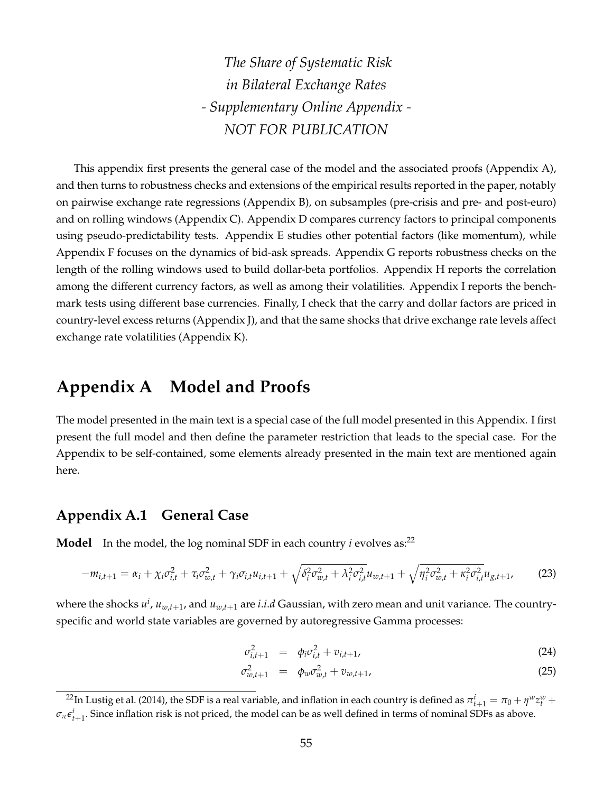*The Share of Systematic Risk in Bilateral Exchange Rates - Supplementary Online Appendix - NOT FOR PUBLICATION*

This appendix first presents the general case of the model and the associated proofs (Appendix A), and then turns to robustness checks and extensions of the empirical results reported in the paper, notably on pairwise exchange rate regressions (Appendix B), on subsamples (pre-crisis and pre- and post-euro) and on rolling windows (Appendix C). Appendix D compares currency factors to principal components using pseudo-predictability tests. Appendix E studies other potential factors (like momentum), while Appendix F focuses on the dynamics of bid-ask spreads. Appendix G reports robustness checks on the length of the rolling windows used to build dollar-beta portfolios. Appendix H reports the correlation among the different currency factors, as well as among their volatilities. Appendix I reports the benchmark tests using different base currencies. Finally, I check that the carry and dollar factors are priced in country-level excess returns (Appendix J), and that the same shocks that drive exchange rate levels affect exchange rate volatilities (Appendix K).

### **Appendix A Model and Proofs**

The model presented in the main text is a special case of the full model presented in this Appendix. I first present the full model and then define the parameter restriction that leads to the special case. For the Appendix to be self-contained, some elements already presented in the main text are mentioned again here.

### **Appendix A.1 General Case**

**Model** In the model, the log nominal SDF in each country *i* evolves as:<sup>22</sup>

$$
-m_{i,t+1} = \alpha_i + \chi_i \sigma_{i,t}^2 + \tau_i \sigma_{w,t}^2 + \gamma_i \sigma_{i,t} u_{i,t+1} + \sqrt{\delta_i^2 \sigma_{w,t}^2 + \lambda_i^2 \sigma_{i,t}^2} u_{w,t+1} + \sqrt{\eta_i^2 \sigma_{w,t}^2 + \kappa_i^2 \sigma_{i,t}^2} u_{g,t+1},
$$
(23)

where the shocks  $u^i$ ,  $u_{w,t+1}$ , and  $u_{w,t+1}$  are *i.i.d* Gaussian, with zero mean and unit variance. The countryspecific and world state variables are governed by autoregressive Gamma processes:

$$
\sigma_{i,t+1}^2 = \phi_i \sigma_{i,t}^2 + v_{i,t+1}, \tag{24}
$$

$$
\sigma_{w,t+1}^2 = \phi_w \sigma_{w,t}^2 + v_{w,t+1}, \tag{25}
$$

 $^{22}$ In Lustig et al. (2014), the SDF is a real variable, and inflation in each country is defined as  $\pi^i_{t+1}=\pi_0+\eta^w z^w_t+\eta^w z^w_t$  $\sigma_{\pi} \epsilon_{t+1}^i$ . Since inflation risk is not priced, the model can be as well defined in terms of nominal SDFs as above.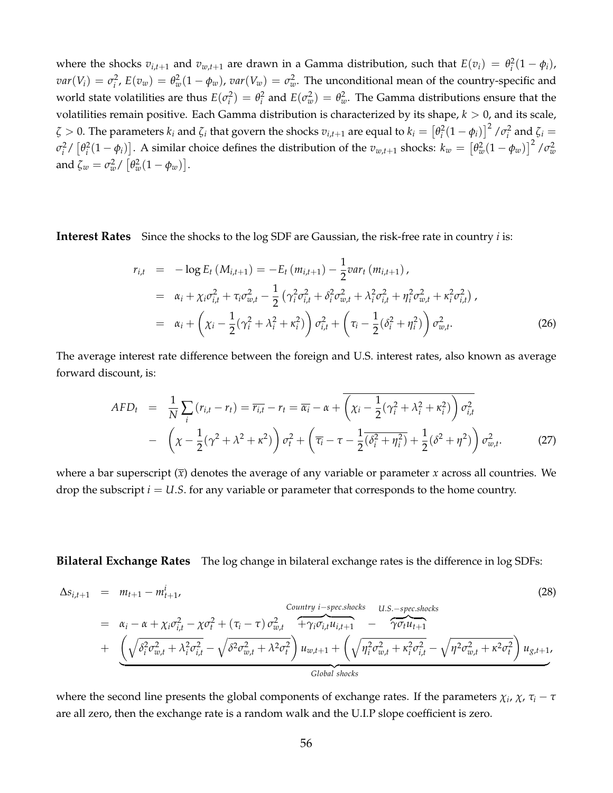where the shocks  $v_{i,t+1}$  and  $v_{w,t+1}$  are drawn in a Gamma distribution, such that  $E(v_i) = \theta_i^2(1 - \phi_i)$ ,  $var(V_i) = \sigma_i^2$ ,  $E(v_w) = \theta_w^2(1-\phi_w)$ ,  $var(V_w) = \sigma_w^2$ . The unconditional mean of the country-specific and world state volatilities are thus  $E(\sigma_i^2) = \theta_i^2$  and  $E(\sigma_w^2) = \theta_w^2$ . The Gamma distributions ensure that the volatilities remain positive. Each Gamma distribution is characterized by its shape,  $k > 0$ , and its scale,  $\zeta>0$ . The parameters  $k_i$  and  $\zeta_i$  that govern the shocks  $v_{i,t+1}$  are equal to  $k_i=\left[\theta_i^2(1-\phi_i)\right]^2$  /  $\sigma_i^2$  and  $\zeta_i=0$  $\sigma_i^2/\left[\theta_i^2(1-\phi_i)\right]$ . A similar choice defines the distribution of the  $v_{w,t+1}$  shocks:  $k_w=\left[\theta_w^2(1-\phi_w)\right]^2/\sigma_w^2$ and  $\zeta_w = \sigma_w^2 / \left[ \theta_w^2 (1 - \phi_w) \right]$ .

**Interest Rates** Since the shocks to the log SDF are Gaussian, the risk-free rate in country *i* is:

$$
r_{i,t} = -\log E_t \left( M_{i,t+1} \right) = -E_t \left( m_{i,t+1} \right) - \frac{1}{2} \text{var}_t \left( m_{i,t+1} \right),
$$
  
\n
$$
= \alpha_i + \chi_i \sigma_{i,t}^2 + \tau_i \sigma_{w,t}^2 - \frac{1}{2} \left( \gamma_i^2 \sigma_{i,t}^2 + \delta_i^2 \sigma_{w,t}^2 + \lambda_i^2 \sigma_{i,t}^2 + \eta_i^2 \sigma_{w,t}^2 + \kappa_i^2 \sigma_{i,t}^2 \right),
$$
  
\n
$$
= \alpha_i + \left( \chi_i - \frac{1}{2} (\gamma_i^2 + \lambda_i^2 + \kappa_i^2) \right) \sigma_{i,t}^2 + \left( \tau_i - \frac{1}{2} (\delta_i^2 + \eta_i^2) \right) \sigma_{w,t}^2.
$$
 (26)

The average interest rate difference between the foreign and U.S. interest rates, also known as average forward discount, is:

$$
AFD_t = \frac{1}{N} \sum_i (r_{i,t} - r_t) = \overline{r_{i,t}} - r_t = \overline{\alpha_i} - \alpha + \overline{\left(\chi_i - \frac{1}{2}(\gamma_i^2 + \lambda_i^2 + \kappa_i^2)\right) \sigma_{i,t}^2}
$$

$$
- \left(\chi - \frac{1}{2}(\gamma^2 + \lambda^2 + \kappa^2)\right) \sigma_t^2 + \left(\overline{\tau_i} - \tau - \frac{1}{2}(\overline{\delta_i^2 + \eta_i^2}) + \frac{1}{2}(\delta^2 + \eta^2)\right) \sigma_{w,t}^2. \tag{27}
$$

where a bar superscript (*x*) denotes the average of any variable or parameter *x* across all countries. We drop the subscript  $i = U.S$ . for any variable or parameter that corresponds to the home country.

**Bilateral Exchange Rates** The log change in bilateral exchange rates is the difference in log SDFs:

$$
\Delta s_{i,t+1} = m_{t+1} - m_{t+1}^{i},
$$
\n(28)  
\n
$$
= \alpha_i - \alpha + \chi_i \sigma_{i,t}^2 - \chi \sigma_t^2 + (\tau_i - \tau) \sigma_{w,t}^2 + \gamma_i \sigma_{i,t} u_{i,t+1} - \gamma_i \sigma_{t} u_{t+1}
$$
\n
$$
+ \underbrace{\left(\sqrt{\delta_i^2 \sigma_{w,t}^2 + \lambda_i^2 \sigma_{i,t}^2} - \sqrt{\delta^2 \sigma_{w,t}^2 + \lambda^2 \sigma_t^2}\right) u_{w,t+1} + \left(\sqrt{\eta_i^2 \sigma_{w,t}^2 + \kappa_i^2 \sigma_{i,t}^2} - \sqrt{\eta^2 \sigma_{w,t}^2 + \kappa^2 \sigma_t^2}\right) u_{g,t+1}}_{Global shocks},
$$
\n(29)

where the second line presents the global components of exchange rates. If the parameters *χ<sup>i</sup>* , *χ*, *τ<sup>i</sup>* − *τ* are all zero, then the exchange rate is a random walk and the U.I.P slope coefficient is zero.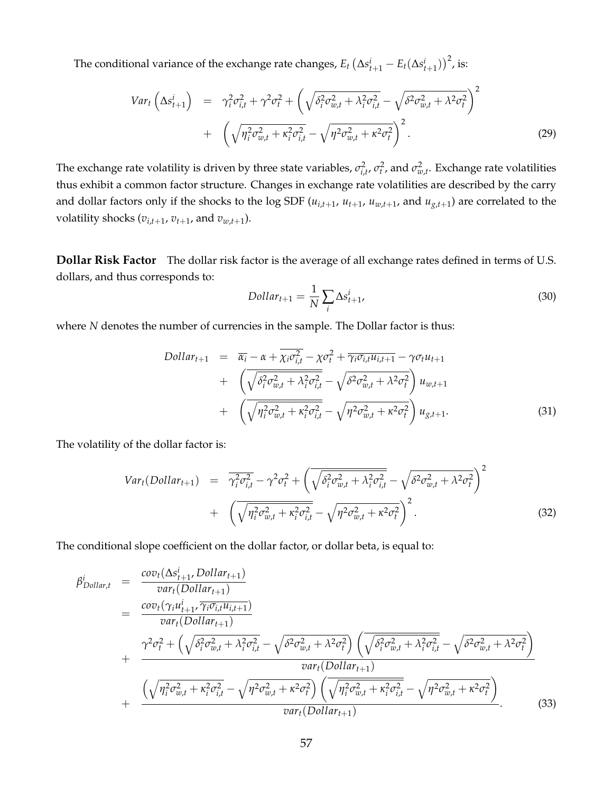The conditional variance of the exchange rate changes,  $E_t\left(\Delta s^i_{t+1} - E_t(\Delta s^i_{t+1})\right)^2$ , is:

$$
Var_t \left( \Delta s_{t+1}^i \right) = \gamma_i^2 \sigma_{i,t}^2 + \gamma^2 \sigma_t^2 + \left( \sqrt{\delta_i^2 \sigma_{w,t}^2 + \lambda_i^2 \sigma_{i,t}^2} - \sqrt{\delta^2 \sigma_{w,t}^2 + \lambda^2 \sigma_t^2} \right)^2 + \left( \sqrt{\eta_i^2 \sigma_{w,t}^2 + \kappa_i^2 \sigma_{i,t}^2} - \sqrt{\eta^2 \sigma_{w,t}^2 + \kappa^2 \sigma_t^2} \right)^2.
$$
 (29)

The exchange rate volatility is driven by three state variables,  $\sigma_{i,t}^2$ ,  $\sigma_t^2$ , and  $\sigma_{w,t}^2$ . Exchange rate volatilities thus exhibit a common factor structure. Changes in exchange rate volatilities are described by the carry and dollar factors only if the shocks to the log SDF  $(u_{i,t+1}, u_{t+1}, u_{w,t+1})$  and  $u_{g,t+1}$  are correlated to the volatility shocks ( $v_{i,t+1}$ ,  $v_{t+1}$ , and  $v_{w,t+1}$ ).

**Dollar Risk Factor** The dollar risk factor is the average of all exchange rates defined in terms of U.S. dollars, and thus corresponds to:

$$
Dollar_{t+1} = \frac{1}{N} \sum_{i} \Delta s_{t+1}^{i}, \qquad (30)
$$

where *N* denotes the number of currencies in the sample. The Dollar factor is thus:

$$
Dollar_{t+1} = \overline{\alpha_i} - \alpha + \overline{\chi_i \sigma_{i,t}^2} - \chi \sigma_t^2 + \overline{\gamma_i \sigma_{i,t} u_{i,t+1}} - \gamma \sigma_t u_{t+1}
$$
  
+ 
$$
\left( \overline{\sqrt{\delta_i^2 \sigma_{w,t}^2 + \lambda_i^2 \sigma_{i,t}^2}} - \sqrt{\delta^2 \sigma_{w,t}^2 + \lambda^2 \sigma_t^2} \right) u_{w,t+1}
$$
  
+ 
$$
\left( \overline{\sqrt{\eta_i^2 \sigma_{w,t}^2 + \kappa_i^2 \sigma_{i,t}^2}} - \sqrt{\eta^2 \sigma_{w,t}^2 + \kappa^2 \sigma_t^2} \right) u_{g,t+1}.
$$
 (31)

The volatility of the dollar factor is:

$$
Var_t(Dollar_{t+1}) = \overline{\gamma_i^2 \sigma_{i,t}^2} - \gamma^2 \sigma_t^2 + \left(\overline{\sqrt{\delta_i^2 \sigma_{w,t}^2 + \lambda_i^2 \sigma_{i,t}^2}} - \sqrt{\delta^2 \sigma_{w,t}^2 + \lambda^2 \sigma_t^2}\right)^2
$$

$$
+ \left(\overline{\sqrt{\eta_i^2 \sigma_{w,t}^2 + \kappa_i^2 \sigma_{i,t}^2}} - \sqrt{\eta^2 \sigma_{w,t}^2 + \kappa^2 \sigma_t^2}\right)^2.
$$
(32)

The conditional slope coefficient on the dollar factor, or dollar beta, is equal to:

$$
\beta_{Dollar,t}^{i} = \frac{cov_{t}(\Delta s_{t+1}^{i}, Dollar_{t+1})}{var_{t}(Dollar_{t+1})}
$$
\n
$$
= \frac{cov_{t}(\gamma_{i}u_{t+1}^{i}, \overline{\gamma_{i}\sigma_{i,t}u_{i,t+1}})}{var_{t}(Dollar_{t+1})}
$$
\n
$$
+ \frac{\gamma^{2}\sigma_{t}^{2} + (\sqrt{\delta_{i}^{2}\sigma_{w,t}^{2} + \lambda_{i}^{2}\sigma_{i,t}^{2}} - \sqrt{\delta^{2}\sigma_{w,t}^{2} + \lambda^{2}\sigma_{t}^{2}}) (\sqrt{\delta_{i}^{2}\sigma_{w,t}^{2} + \lambda_{i}^{2}\sigma_{i,t}^{2}} - \sqrt{\delta^{2}\sigma_{w,t}^{2} + \lambda^{2}\sigma_{t}^{2}})} \frac{var_{t}(Dollar_{t+1})}{var_{t}(Dollar_{t+1})}
$$
\n
$$
+ \frac{(\sqrt{\eta_{i}^{2}\sigma_{w,t}^{2} + \kappa_{i}^{2}\sigma_{i,t}^{2}} - \sqrt{\eta^{2}\sigma_{w,t}^{2} + \kappa^{2}\sigma_{t}^{2}}) (\sqrt{\eta_{i}^{2}\sigma_{w,t}^{2} + \kappa_{i}^{2}\sigma_{i,t}^{2}} - \sqrt{\eta^{2}\sigma_{w,t}^{2} + \kappa^{2}\sigma_{t}^{2}})} \frac{var_{t}(Dollar_{t+1})}{var_{t}(Dollar_{t+1})}.
$$
\n(33)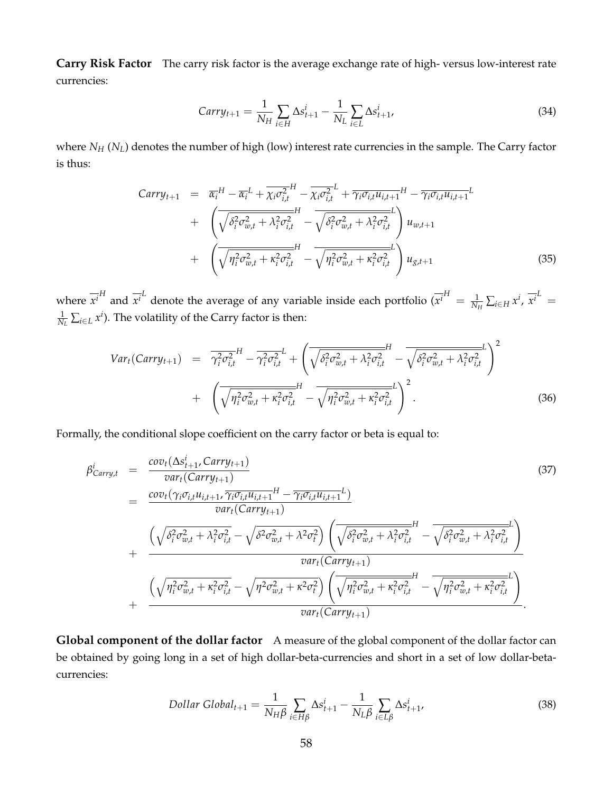**Carry Risk Factor** The carry risk factor is the average exchange rate of high- versus low-interest rate currencies:

$$
Carry_{t+1} = \frac{1}{N_H} \sum_{i \in H} \Delta s_{t+1}^i - \frac{1}{N_L} \sum_{i \in L} \Delta s_{t+1}^i,
$$
\n(34)

where *N<sup>H</sup>* (*NL*) denotes the number of high (low) interest rate currencies in the sample. The Carry factor is thus:

$$
Carry_{t+1} = \overline{\alpha_i}^H - \overline{\alpha_i}^L + \overline{\chi_i \sigma_{i,t}^2}^H - \overline{\chi_i \sigma_{i,t}^2}^L + \overline{\gamma_i \sigma_{i,t} u_{i,t+1}}^H - \overline{\gamma_i \sigma_{i,t} u_{i,t+1}}^L + \left( \overline{\sqrt{\delta_i^2 \sigma_{w,t}^2 + \lambda_i^2 \sigma_{i,t}^2}} - \overline{\sqrt{\delta_i^2 \sigma_{w,t}^2 + \lambda_i^2 \sigma_{i,t}^2}} \right) u_{w,t+1} + \left( \overline{\sqrt{\eta_i^2 \sigma_{w,t}^2 + \kappa_i^2 \sigma_{i,t}^2}} - \overline{\sqrt{\eta_i^2 \sigma_{w,t}^2 + \kappa_i^2 \sigma_{i,t}^2}} \right) u_{g,t+1}
$$
\n(35)

where  $\overline{x^i}^H$  and  $\overline{x^i}^L$  denote the average of any variable inside each portfolio  $(\overline{x^i}^H = \frac{1}{N_H} \sum_{i \in H} x^i, \overline{x^i}^L =$  $\frac{1}{N_L} \sum_{i \in L} x^i$ ). The volatility of the Carry factor is then:

$$
Var_{t}(Carry_{t+1}) = \overline{\gamma_{i}^{2} \sigma_{i,t}^{2}}^{H} - \overline{\gamma_{i}^{2} \sigma_{i,t}^{2}}^{L} + \left(\overline{\sqrt{\delta_{i}^{2} \sigma_{w,t}^{2} + \lambda_{i}^{2} \sigma_{i,t}^{2}}} - \overline{\sqrt{\delta_{i}^{2} \sigma_{w,t}^{2} + \lambda_{i}^{2} \sigma_{i,t}^{2}}^{L}}\right)^{2} + \left(\overline{\sqrt{\eta_{i}^{2} \sigma_{w,t}^{2} + \kappa_{i}^{2} \sigma_{i,t}^{2}}}^{H} - \overline{\sqrt{\eta_{i}^{2} \sigma_{w,t}^{2} + \kappa_{i}^{2} \sigma_{i,t}^{2}}^{L}}^{L}\right)^{2}.
$$
\n(36)

Formally, the conditional slope coefficient on the carry factor or beta is equal to:

$$
\beta_{Carry,t}^{i} = \frac{cov_{t}(\Delta s_{t+1}^{i}, Carry_{t+1})}{var_{t}(Carry_{t+1})}
$$
\n
$$
= \frac{cov_{t}(\gamma_{i}\sigma_{i,t}u_{i,t+1}, \overline{\gamma_{i}\sigma_{i,t}u_{i,t+1}}^{H} - \overline{\gamma_{i}\sigma_{i,t}u_{i,t+1}}^{L})}{var_{t}(Carry_{t+1})}
$$
\n
$$
+ \frac{\left(\sqrt{\delta_{i}^{2}\sigma_{w,t}^{2} + \lambda_{i}^{2}\sigma_{i,t}^{2}} - \sqrt{\delta^{2}\sigma_{w,t}^{2} + \lambda^{2}\sigma_{i}^{2}}\right)\left(\overline{\sqrt{\delta_{i}^{2}\sigma_{w,t}^{2} + \lambda_{i}^{2}\sigma_{i,t}^{2}}} - \overline{\sqrt{\delta_{i}^{2}\sigma_{w,t}^{2} + \lambda_{i}^{2}\sigma_{i,t}^{2}}}\right)}{var_{t}(Carry_{t+1})}
$$
\n
$$
+ \frac{\left(\sqrt{\eta_{i}^{2}\sigma_{w,t}^{2} + \kappa_{i}^{2}\sigma_{i,t}^{2}} - \sqrt{\eta^{2}\sigma_{w,t}^{2} + \kappa^{2}\sigma_{i}^{2}}\right)\left(\overline{\sqrt{\eta_{i}^{2}\sigma_{w,t}^{2} + \kappa_{i}^{2}\sigma_{i,t}^{2}}} - \overline{\sqrt{\eta_{i}^{2}\sigma_{w,t}^{2} + \kappa_{i}^{2}\sigma_{i,t}^{2}}}\right)}{var_{t}(Carry_{t+1})}.
$$
\n(37)

Global component of the dollar factor A measure of the global component of the dollar factor can be obtained by going long in a set of high dollar-beta-currencies and short in a set of low dollar-betacurrencies:

$$
Dollar Global_{t+1} = \frac{1}{N_H \beta} \sum_{i \in H\beta} \Delta s_{t+1}^i - \frac{1}{N_L \beta} \sum_{i \in L\beta} \Delta s_{t+1}^i,
$$
\n(38)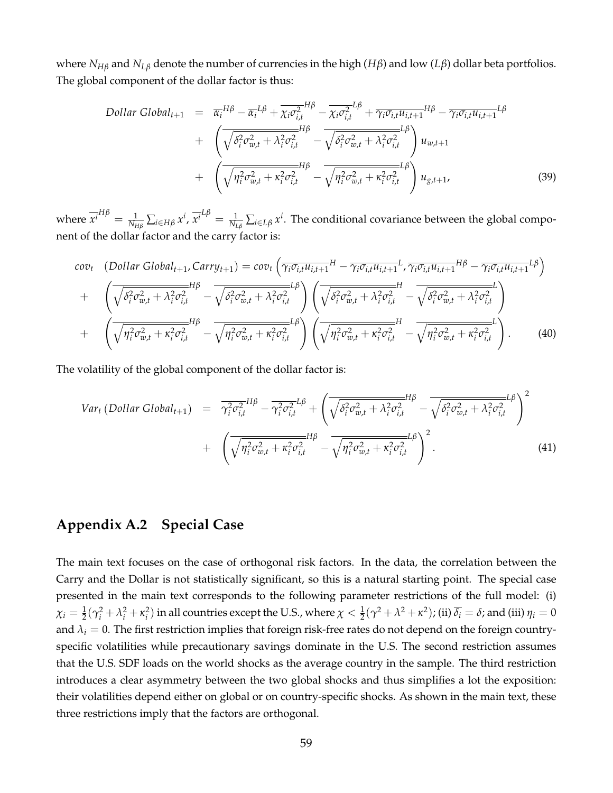where *NH<sup>β</sup>* and *NL<sup>β</sup>* denote the number of currencies in the high (*Hβ*) and low (*Lβ*) dollar beta portfolios. The global component of the dollar factor is thus:

Dollar Global<sub>t+1</sub> = 
$$
\overline{\alpha_i}^{H\beta} - \overline{\alpha_i}^{L\beta} + \overline{\chi_i \sigma_{i,t}^2}^{H\beta} - \overline{\chi_i \sigma_{i,t}^2}^{L\beta} + \overline{\gamma_i \sigma_{i,t} u_{i,t+1}}^{H\beta} - \overline{\gamma_i \sigma_{i,t} u_{i,t+1}}^{L\beta}
$$
  
+  $\left(\overline{\sqrt{\delta_i^2 \sigma_{w,t}^2 + \lambda_i^2 \sigma_{i,t}^2}} - \overline{\sqrt{\delta_i^2 \sigma_{w,t}^2 + \lambda_i^2 \sigma_{i,t}^2}}\right) u_{w,t+1}$   
+  $\left(\overline{\sqrt{\eta_i^2 \sigma_{w,t}^2 + \kappa_i^2 \sigma_{i,t}^2}} - \overline{\sqrt{\eta_i^2 \sigma_{w,t}^2 + \kappa_i^2 \sigma_{i,t}^2}}^{L\beta}\right) u_{g,t+1},$  (39)

where  $\overline{x^i}^{H\beta} = \frac{1}{N_{H\beta}} \sum_{i \in H\beta} x^i$ ,  $\overline{x^i}^{L\beta} = \frac{1}{N_{L\beta}} \sum_{i \in L\beta} x^i$ . The conditional covariance between the global component of the dollar factor and the carry factor is:

$$
cov_t \quad (Dollar Global_{t+1}, Carry_{t+1}) = cov_t \left(\overline{\gamma_i \sigma_{i,t} u_{i,t+1}}^H - \overline{\gamma_i \sigma_{i,t} u_{i,t+1}}^L, \overline{\gamma_i \sigma_{i,t} u_{i,t+1}}^H \right) - \overline{\gamma_i \sigma_{i,t} u_{i,t+1}}^L \delta)
$$
  
+ 
$$
\left(\overline{\sqrt{\delta_i^2 \sigma_{w,t}^2 + \lambda_i^2 \sigma_{i,t}^2}}^H - \overline{\sqrt{\delta_i^2 \sigma_{w,t}^2 + \lambda_i^2 \sigma_{i,t}^2}}\right) \left(\overline{\sqrt{\delta_i^2 \sigma_{w,t}^2 + \lambda_i^2 \sigma_{i,t}^2}}^H - \overline{\sqrt{\delta_i^2 \sigma_{w,t}^2 + \lambda_i^2 \sigma_{i,t}^2}}^L\right)
$$
  
+ 
$$
\left(\overline{\sqrt{\eta_i^2 \sigma_{w,t}^2 + \kappa_i^2 \sigma_{i,t}^2}}^H - \overline{\sqrt{\eta_i^2 \sigma_{w,t}^2 + \kappa_i^2 \sigma_{i,t}^2}}^L\right) \left(\overline{\sqrt{\eta_i^2 \sigma_{w,t}^2 + \kappa_i^2 \sigma_{i,t}^2}}^H - \overline{\sqrt{\eta_i^2 \sigma_{w,t}^2 + \kappa_i^2 \sigma_{i,t}^2}}^L\right).
$$
(40)

The volatility of the global component of the dollar factor is:

$$
Var_t (Dollar Global_{t+1}) = \overline{\gamma_i^2 \sigma_{i,t}^2}^{H\beta} - \overline{\gamma_i^2 \sigma_{i,t}^2}^{L\beta} + \left( \overline{\sqrt{\delta_i^2 \sigma_{w,t}^2 + \lambda_i^2 \sigma_{i,t}^2}}^{H\beta} - \overline{\sqrt{\delta_i^2 \sigma_{w,t}^2 + \lambda_i^2 \sigma_{i,t}^2}}^{H\beta} \right)^2
$$
  
+ 
$$
\left( \overline{\sqrt{\eta_i^2 \sigma_{w,t}^2 + \kappa_i^2 \sigma_{i,t}^2}}^{H\beta} - \overline{\sqrt{\eta_i^2 \sigma_{w,t}^2 + \kappa_i^2 \sigma_{i,t}^2}}^{L\beta} \right)^2.
$$
 (41)

### **Appendix A.2 Special Case**

The main text focuses on the case of orthogonal risk factors. In the data, the correlation between the Carry and the Dollar is not statistically significant, so this is a natural starting point. The special case presented in the main text corresponds to the following parameter restrictions of the full model: (i)  $\chi_i=\frac{1}{2}(\gamma_i^2+\lambda_i^2+\kappa_i^2)$  in all countries except the U.S., where  $\chi<\frac{1}{2}(\gamma^2+\lambda^2+\kappa^2)$ ; (ii)  $\overline{\delta_i}=\delta$ ; and (iii)  $\eta_i=0$ and  $\lambda_i = 0$ . The first restriction implies that foreign risk-free rates do not depend on the foreign countryspecific volatilities while precautionary savings dominate in the U.S. The second restriction assumes that the U.S. SDF loads on the world shocks as the average country in the sample. The third restriction introduces a clear asymmetry between the two global shocks and thus simplifies a lot the exposition: their volatilities depend either on global or on country-specific shocks. As shown in the main text, these three restrictions imply that the factors are orthogonal.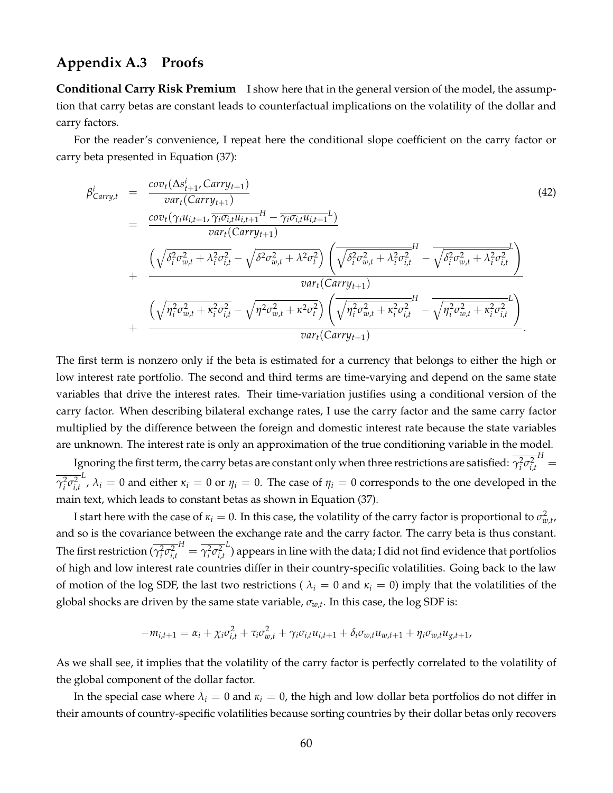#### **Appendix A.3 Proofs**

**Conditional Carry Risk Premium** I show here that in the general version of the model, the assumption that carry betas are constant leads to counterfactual implications on the volatility of the dollar and carry factors.

For the reader's convenience, I repeat here the conditional slope coefficient on the carry factor or carry beta presented in Equation (37):

$$
\beta_{Carry,t}^{i} = \frac{cov_{t}(\Delta s_{t+1}^{i}, Carry_{t+1})}{var_{t}(Carry_{t+1})}
$$
\n
$$
= \frac{cov_{t}(\gamma_{i}u_{i,t+1},\gamma_{i}\sigma_{i,t}u_{i,t+1}^{H} - \gamma_{i}\sigma_{i,t}u_{i,t+1}^{L})}{var_{t}(Carry_{t+1})}
$$
\n
$$
+ \frac{\left(\sqrt{\delta_{i}^{2}\sigma_{w,t}^{2} + \lambda_{i}^{2}\sigma_{i,t}^{2}} - \sqrt{\delta^{2}\sigma_{w,t}^{2} + \lambda^{2}\sigma_{i}^{2}}\right)\left(\sqrt{\delta_{i}^{2}\sigma_{w,t}^{2} + \lambda_{i}^{2}\sigma_{i,t}^{2}} - \sqrt{\delta_{i}^{2}\sigma_{w,t}^{2} + \lambda_{i}^{2}\sigma_{i,t}^{2}}\right)}{\varphi_{ar_{t}}(Carry_{t+1})}
$$
\n
$$
+ \frac{\left(\sqrt{\eta_{i}^{2}\sigma_{w,t}^{2} + \kappa_{i}^{2}\sigma_{i,t}^{2}} - \sqrt{\eta^{2}\sigma_{w,t}^{2} + \kappa^{2}\sigma_{i}^{2}}\right)\left(\sqrt{\eta_{i}^{2}\sigma_{w,t}^{2} + \kappa_{i}^{2}\sigma_{i,t}^{2}} - \sqrt{\eta_{i}^{2}\sigma_{w,t}^{2} + \kappa_{i}^{2}\sigma_{i,t}^{2}}\right)}{\varphi_{ar_{t}}(Carry_{t+1})}.
$$
\n(42)

The first term is nonzero only if the beta is estimated for a currency that belongs to either the high or low interest rate portfolio. The second and third terms are time-varying and depend on the same state variables that drive the interest rates. Their time-variation justifies using a conditional version of the carry factor. When describing bilateral exchange rates, I use the carry factor and the same carry factor multiplied by the difference between the foreign and domestic interest rate because the state variables are unknown. The interest rate is only an approximation of the true conditioning variable in the model.

Ignoring the first term, the carry betas are constant only when three restrictions are satisfied:  $\gamma_i^2 \sigma_{i,t}^2$  $H_{\parallel}$  $γ<sub>i</sub><sup>2</sup>σ<sub>i,t</sub><sup>2</sup>$ *L* , *λ<sup>i</sup>* = 0 and either *κ<sup>i</sup>* = 0 or *η<sup>i</sup>* = 0. The case of *η<sup>i</sup>* = 0 corresponds to the one developed in the main text, which leads to constant betas as shown in Equation (37).

I start here with the case of  $\kappa_i = 0$ . In this case, the volatility of the carry factor is proportional to  $\sigma_{w,t}^2$ , and so is the covariance between the exchange rate and the carry factor. The carry beta is thus constant. The first restriction ( $\gamma_i^2 \sigma_{i,t}^2$  $H = \overline{\gamma_i^2 \sigma_{i,t}^2}$ *L* ) appears in line with the data; I did not find evidence that portfolios of high and low interest rate countries differ in their country-specific volatilities. Going back to the law of motion of the log SDF, the last two restrictions ( $\lambda_i = 0$  and  $\kappa_i = 0$ ) imply that the volatilities of the global shocks are driven by the same state variable, *σw*,*<sup>t</sup>* . In this case, the log SDF is:

$$
-m_{i,t+1} = \alpha_i + \chi_i \sigma_{i,t}^2 + \tau_i \sigma_{w,t}^2 + \gamma_i \sigma_{i,t} u_{i,t+1} + \delta_i \sigma_{w,t} u_{w,t+1} + \eta_i \sigma_{w,t} u_{g,t+1},
$$

As we shall see, it implies that the volatility of the carry factor is perfectly correlated to the volatility of the global component of the dollar factor.

In the special case where  $\lambda_i = 0$  and  $\kappa_i = 0$ , the high and low dollar beta portfolios do not differ in their amounts of country-specific volatilities because sorting countries by their dollar betas only recovers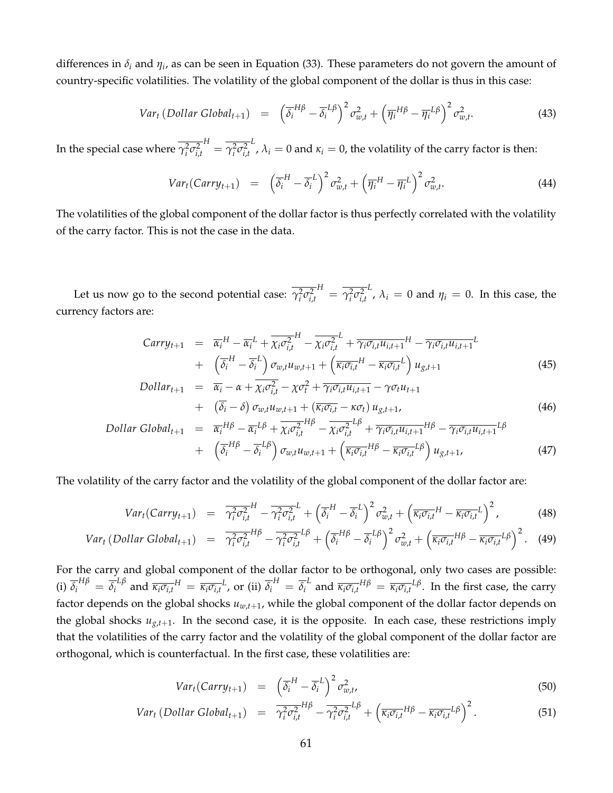differences in *δ<sup>i</sup>* and *η<sup>i</sup>* , as can be seen in Equation (33). These parameters do not govern the amount of country-specific volatilities. The volatility of the global component of the dollar is thus in this case:

$$
Var_t (Dollar Global_{t+1}) = (\overline{\delta_i}^{H\beta} - \overline{\delta_i}^{L\beta})^2 \sigma_{w,t}^2 + (\overline{\eta_i}^{H\beta} - \overline{\eta_i}^{L\beta})^2 \sigma_{w,t}^2.
$$
 (43)

In the special case where  $\gamma_i^2 \sigma_{i,t}^2$  $H = \overline{\gamma_i^2 \sigma_{i,t}^2}$ *L*,  $λ<sub>i</sub> = 0$  and  $κ<sub>i</sub> = 0$ , the volatility of the carry factor is then:

$$
Var_t(Carry_{t+1}) = \left(\overline{\delta_i}^H - \overline{\delta_i}^L\right)^2 \sigma_{w,t}^2 + \left(\overline{\eta_i}^H - \overline{\eta_i}^L\right)^2 \sigma_{w,t}^2.
$$
 (44)

The volatilities of the global component of the dollar factor is thus perfectly correlated with the volatility of the carry factor. This is not the case in the data.

Let us now go to the second potential case:  $\gamma_i^2 \sigma_{i,t}^2$  $H = \overline{\gamma_i^2 \sigma_{i,t}^2}$ *L*,  $\lambda_i = 0$  and  $\eta_i = 0$ . In this case, the currency factors are:

$$
Carry_{t+1} = \overline{\alpha_i}^H - \overline{\alpha_i}^L + \overline{\chi_i \sigma_{i,t}^2}^H - \overline{\chi_i \sigma_{i,t}^2}^L + \overline{\gamma_i \sigma_{i,t} u_{i,t+1}}^H - \overline{\gamma_i \sigma_{i,t} u_{i,t+1}}^L
$$
  
+ 
$$
\left(\overline{\delta_i}^H - \overline{\delta_i}^L\right) \sigma_{w,t} u_{w,t+1} + \left(\overline{\kappa_i \sigma_{i,t}}^H - \overline{\kappa_i \sigma_{i,t}}^L\right) u_{g,t+1}
$$
(45)

$$
Dollar_{t+1} = \overline{\alpha_i} - \alpha + \overline{\chi_i \sigma_{i,t}^2} - \chi \sigma_t^2 + \overline{\gamma_i \sigma_{i,t} u_{i,t+1}} - \gamma \sigma_t u_{t+1} + (\overline{\delta_i} - \delta) \sigma_{w,t} u_{w,t+1} + (\overline{\kappa_i \sigma_{i,t}} - \kappa \sigma_t) u_{g,t+1},
$$
\n(46)

Dollar Global<sub>t+1</sub> = 
$$
\overline{\alpha_i}^{H\beta} - \overline{\alpha_i}^{L\beta} + \overline{\chi_i \sigma_{i,t}^2}^{H\beta} - \overline{\chi_i \sigma_{i,t}^2}^{L\beta} + \overline{\gamma_i \sigma_{i,t} u_{i,t+1}}^{H\beta} - \overline{\gamma_i \sigma_{i,t} u_{i,t+1}}^{L\beta}
$$
  
+  $\left(\overline{\delta_i}^{H\beta} - \overline{\delta_i}^{L\beta}\right) \sigma_{w,t} u_{w,t+1} + \left(\overline{\kappa_i \sigma_{i,t}}^{H\beta} - \overline{\kappa_i \sigma_{i,t}}^{L\beta}\right) u_{g,t+1}$ , (47)

The volatility of the carry factor and the volatility of the global component of the dollar factor are:

$$
Var_t(Carry_{t+1}) = \overline{\gamma_i^2 \sigma_{i,t}^2}^H - \overline{\gamma_i^2 \sigma_{i,t}^2}^L + \left(\overline{\delta_i^H} - \overline{\delta_i}^L\right)^2 \sigma_{w,t}^2 + \left(\overline{\kappa_i \sigma_{i,t}}^H - \overline{\kappa_i \sigma_{i,t}}^L\right)^2, \tag{48}
$$

$$
Var_t\left(Dollar\text{ Global}_{t+1}\right) = \overline{\gamma_i^2 \sigma_{i,t}^2}^{H\beta} - \overline{\gamma_i^2 \sigma_{i,t}^2}^{L\beta} + \left(\overline{\delta_i}^{H\beta} - \overline{\delta_i}^{L\beta}\right)^2 \sigma_{w,t}^2 + \left(\overline{\kappa_i \sigma_{i,t}}^{H\beta} - \overline{\kappa_i \sigma_{i,t}}^{L\beta}\right)^2. \tag{49}
$$

For the carry and global component of the dollar factor to be orthogonal, only two cases are possible: (i)  $\overline{\delta_i}^{H\beta} = \overline{\delta_i}^{L\beta}$  and  $\overline{\kappa_i \sigma_{i,t}}^H = \overline{\kappa_i \sigma_{i,t}}^L$ , or (ii)  $\overline{\delta_i}^H = \overline{\delta_i}^L$  and  $\overline{\kappa_i \sigma_{i,t}}^{H\beta} = \overline{\kappa_i \sigma_{i,t}}^{L\beta}$ . In the first case, the carry factor depends on the global shocks *uw*,*t*+1, while the global component of the dollar factor depends on the global shocks  $u_{g,t+1}$ . In the second case, it is the opposite. In each case, these restrictions imply that the volatilities of the carry factor and the volatility of the global component of the dollar factor are orthogonal, which is counterfactual. In the first case, these volatilities are:

$$
Var_t(Carry_{t+1}) = \left(\overline{\delta}_i^H - \overline{\delta}_i^L\right)^2 \sigma_{w,t}^2, \tag{50}
$$

$$
Var_t\left(Dollar\text{ Global}_{t+1}\right) = \overline{\gamma_i^2 \sigma_{i,t}^2}^{H\beta} - \overline{\gamma_i^2 \sigma_{i,t}^2}^{L\beta} + \left(\overline{\kappa_i \sigma_{i,t}}^{H\beta} - \overline{\kappa_i \sigma_{i,t}}^{L\beta}\right)^2. \tag{51}
$$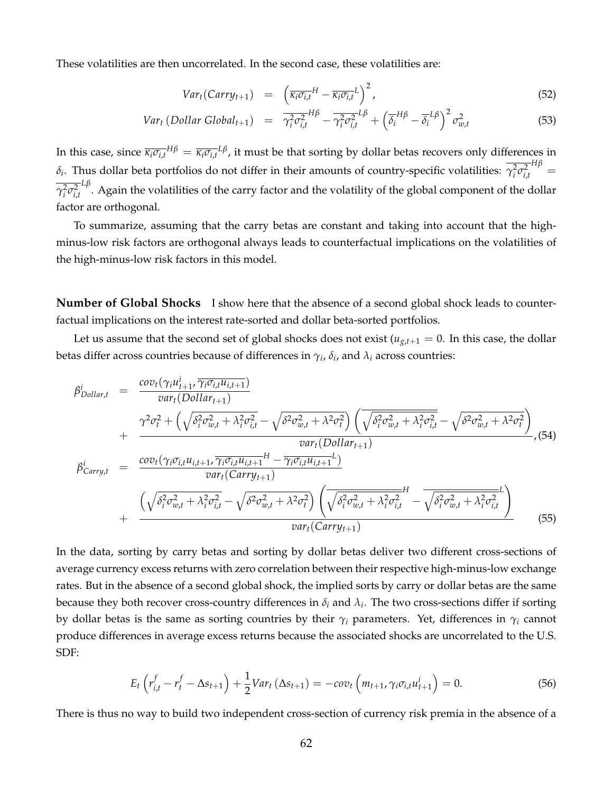These volatilities are then uncorrelated. In the second case, these volatilities are:

$$
Var_t(Carry_{t+1}) = \left(\overline{\kappa_i \sigma_{i,t}}^H - \overline{\kappa_i \sigma_{i,t}}^L\right)^2, \tag{52}
$$

$$
Var_t (Dollar Global_{t+1}) = \overline{\gamma_i^2 \sigma_{i,t}^2}^{H\beta} - \overline{\gamma_i^2 \sigma_{i,t}^2}^{L\beta} + \left(\overline{\delta_i}^{H\beta} - \overline{\delta_i}^{L\beta}\right)^2 \sigma_{w,t}^2
$$
(53)

In this case, since  $\overline{\kappa_i\sigma_{i,t}}^{H\beta}=\overline{\kappa_i\sigma_{i,t}}^{L\beta}$ , it must be that sorting by dollar betas recovers only differences in *δ*<sub>*i*</sub>. Thus dollar beta portfolios do not differ in their amounts of country-specific volatilities:  $γ<sub>i</sub><sup>2</sup>σ<sub>i,t</sub><sup>2</sup>$  $\frac{H\beta}{\beta}$  $γ<sub>i</sub><sup>2</sup>σ<sub>i,t</sub><sup>2</sup>$ *Lβ* . Again the volatilities of the carry factor and the volatility of the global component of the dollar factor are orthogonal.

To summarize, assuming that the carry betas are constant and taking into account that the highminus-low risk factors are orthogonal always leads to counterfactual implications on the volatilities of the high-minus-low risk factors in this model.

**Number of Global Shocks** I show here that the absence of a second global shock leads to counterfactual implications on the interest rate-sorted and dollar beta-sorted portfolios.

Let us assume that the second set of global shocks does not exist ( $u_{g,t+1} = 0$ . In this case, the dollar betas differ across countries because of differences in  $\gamma_i$ ,  $\delta_i$ , and  $\lambda_i$  across countries:

$$
\beta_{Dollar,t}^{i} = \frac{cov_{t}(\gamma_{i}u_{t+1}^{i}, \overline{\gamma_{i}\sigma_{i,t}u_{i,t+1}})}{var_{t}(Dollar_{t+1})}
$$
\n
$$
+ \frac{\gamma^{2}\sigma_{t}^{2} + (\sqrt{\delta_{i}^{2}\sigma_{w,t}^{2} + \lambda_{i}^{2}\sigma_{i,t}^{2}} - \sqrt{\delta^{2}\sigma_{w,t}^{2} + \lambda^{2}\sigma_{t}^{2}}) (\sqrt{\delta_{i}^{2}\sigma_{w,t}^{2} + \lambda_{i}^{2}\sigma_{i,t}^{2}} - \sqrt{\delta^{2}\sigma_{w,t}^{2} + \lambda^{2}\sigma_{t}^{2}})}{\varphi_{a}u_{t}(Dollar_{t+1})}
$$
\n
$$
\beta_{Carry,t}^{i} = \frac{cov_{t}(\gamma_{i}\sigma_{i,t}u_{i,t+1}, \overline{\gamma_{i}\sigma_{i,t}u_{i,t+1}}^{H} - \overline{\gamma_{i}\sigma_{i,t}u_{i,t+1}}^{H})}{var_{t}(Carry_{t+1})}
$$
\n
$$
+ \frac{(\sqrt{\delta_{i}^{2}\sigma_{w,t}^{2} + \lambda_{i}^{2}\sigma_{i,t}^{2}} - \sqrt{\delta^{2}\sigma_{w,t}^{2} + \lambda^{2}\sigma_{t}^{2}}) (\sqrt{\delta_{i}^{2}\sigma_{w,t}^{2} + \lambda_{i}^{2}\sigma_{i,t}^{2}} - \sqrt{\delta_{i}^{2}\sigma_{w,t}^{2} + \lambda_{i}^{2}\sigma_{i,t}^{2}})}{\varphi_{a}u_{t}(Carry_{t+1})}
$$
\n(55)

In the data, sorting by carry betas and sorting by dollar betas deliver two different cross-sections of average currency excess returns with zero correlation between their respective high-minus-low exchange rates. But in the absence of a second global shock, the implied sorts by carry or dollar betas are the same because they both recover cross-country differences in *δ<sup>i</sup>* and *λ<sup>i</sup>* . The two cross-sections differ if sorting by dollar betas is the same as sorting countries by their  $\gamma_i$  parameters. Yet, differences in  $\gamma_i$  cannot produce differences in average excess returns because the associated shocks are uncorrelated to the U.S. SDF:

$$
E_t\left(r_{i,t}^f - r_t^f - \Delta s_{t+1}\right) + \frac{1}{2}Var_t\left(\Delta s_{t+1}\right) = -cov_t\left(m_{t+1}, \gamma_i \sigma_{i,t} u_{t+1}^i\right) = 0. \tag{56}
$$

There is thus no way to build two independent cross-section of currency risk premia in the absence of a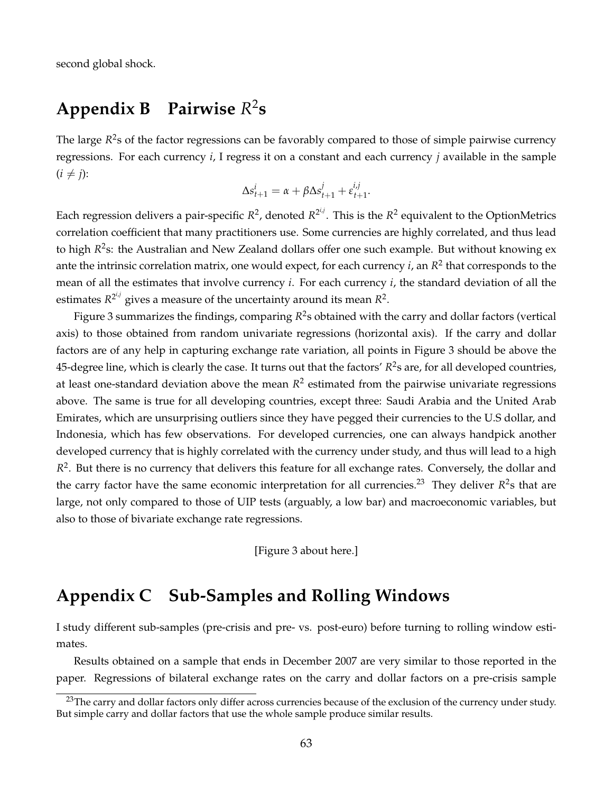second global shock.

#### Appendix **B** 2 **s**

The large  $R^2$ s of the factor regressions can be favorably compared to those of simple pairwise currency regressions. For each currency *i*, I regress it on a constant and each currency *j* available in the sample  $(i \neq j)$ :

$$
\Delta s_{t+1}^i = \alpha + \beta \Delta s_{t+1}^j + \varepsilon_{t+1}^{i,j}.
$$

Each regression delivers a pair-specific  $R^2$ , denoted  $R^{2^{i,j}}$ . This is the  $R^2$  equivalent to the OptionMetrics correlation coefficient that many practitioners use. Some currencies are highly correlated, and thus lead to high *R*<sup>2</sup>s: the Australian and New Zealand dollars offer one such example. But without knowing ex ante the intrinsic correlation matrix, one would expect, for each currency *i*, an  $R^2$  that corresponds to the mean of all the estimates that involve currency *i*. For each currency *i*, the standard deviation of all the estimates  $R^{2^{i,j}}$  gives a measure of the uncertainty around its mean  $R^2$ .

Figure 3 summarizes the findings, comparing *R* 2 s obtained with the carry and dollar factors (vertical axis) to those obtained from random univariate regressions (horizontal axis). If the carry and dollar factors are of any help in capturing exchange rate variation, all points in Figure 3 should be above the 45-degree line, which is clearly the case. It turns out that the factors'  $R^2$ s are, for all developed countries, at least one-standard deviation above the mean  $R^2$  estimated from the pairwise univariate regressions above. The same is true for all developing countries, except three: Saudi Arabia and the United Arab Emirates, which are unsurprising outliers since they have pegged their currencies to the U.S dollar, and Indonesia, which has few observations. For developed currencies, one can always handpick another developed currency that is highly correlated with the currency under study, and thus will lead to a high  $R<sup>2</sup>$ . But there is no currency that delivers this feature for all exchange rates. Conversely, the dollar and the carry factor have the same economic interpretation for all currencies.<sup>23</sup> They deliver  $R^2$ s that are large, not only compared to those of UIP tests (arguably, a low bar) and macroeconomic variables, but also to those of bivariate exchange rate regressions.

[Figure 3 about here.]

## **Appendix C Sub-Samples and Rolling Windows**

I study different sub-samples (pre-crisis and pre- vs. post-euro) before turning to rolling window estimates.

Results obtained on a sample that ends in December 2007 are very similar to those reported in the paper. Regressions of bilateral exchange rates on the carry and dollar factors on a pre-crisis sample

<sup>&</sup>lt;sup>23</sup>The carry and dollar factors only differ across currencies because of the exclusion of the currency under study. But simple carry and dollar factors that use the whole sample produce similar results.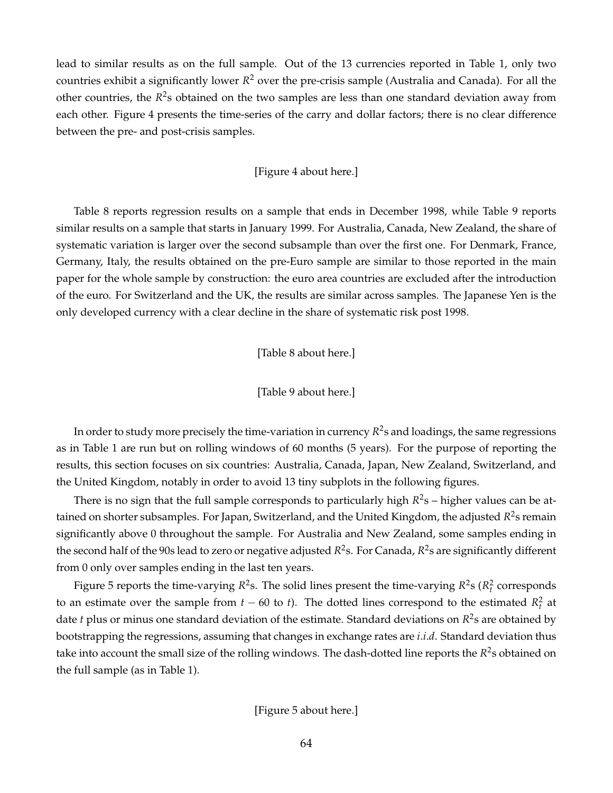lead to similar results as on the full sample. Out of the 13 currencies reported in Table 1, only two countries exhibit a significantly lower *R* <sup>2</sup> over the pre-crisis sample (Australia and Canada). For all the other countries, the R<sup>2</sup>s obtained on the two samples are less than one standard deviation away from each other. Figure 4 presents the time-series of the carry and dollar factors; there is no clear difference between the pre- and post-crisis samples.

#### [Figure 4 about here.]

Table 8 reports regression results on a sample that ends in December 1998, while Table 9 reports similar results on a sample that starts in January 1999. For Australia, Canada, New Zealand, the share of systematic variation is larger over the second subsample than over the first one. For Denmark, France, Germany, Italy, the results obtained on the pre-Euro sample are similar to those reported in the main paper for the whole sample by construction: the euro area countries are excluded after the introduction of the euro. For Switzerland and the UK, the results are similar across samples. The Japanese Yen is the only developed currency with a clear decline in the share of systematic risk post 1998.

[Table 8 about here.]

#### [Table 9 about here.]

In order to study more precisely the time-variation in currency *R* 2 s and loadings, the same regressions as in Table 1 are run but on rolling windows of 60 months (5 years). For the purpose of reporting the results, this section focuses on six countries: Australia, Canada, Japan, New Zealand, Switzerland, and the United Kingdom, notably in order to avoid 13 tiny subplots in the following figures.

There is no sign that the full sample corresponds to particularly high  $R^2$ s – higher values can be attained on shorter subsamples. For Japan, Switzerland, and the United Kingdom, the adjusted *R* 2 s remain significantly above 0 throughout the sample. For Australia and New Zealand, some samples ending in the second half of the 90s lead to zero or negative adjusted R<sup>2</sup>s. For Canada, R<sup>2</sup>s are significantly different from 0 only over samples ending in the last ten years.

Figure 5 reports the time-varying  $R^2$ s. The solid lines present the time-varying  $R^2$ s ( $R_t^2$  corresponds to an estimate over the sample from  $t - 60$  to  $t$ ). The dotted lines correspond to the estimated  $R_t^2$  at date *t* plus or minus one standard deviation of the estimate. Standard deviations on  $R^2$ s are obtained by bootstrapping the regressions, assuming that changes in exchange rates are *i*.*i*.*d*. Standard deviation thus take into account the small size of the rolling windows. The dash-dotted line reports the  $R^2$ s obtained on the full sample (as in Table 1).

[Figure 5 about here.]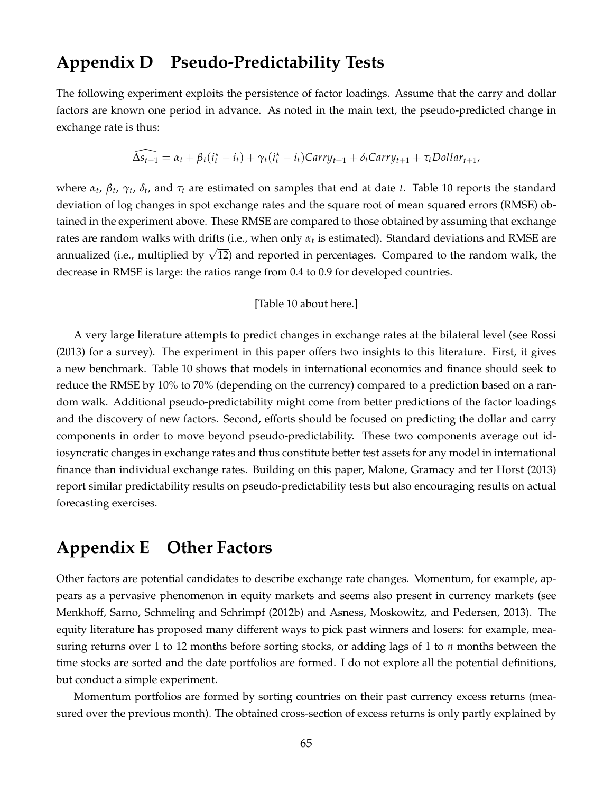## **Appendix D Pseudo-Predictability Tests**

The following experiment exploits the persistence of factor loadings. Assume that the carry and dollar factors are known one period in advance. As noted in the main text, the pseudo-predicted change in exchange rate is thus:

$$
\widehat{\Delta s_{t+1}} = \alpha_t + \beta_t(i_t^\star - i_t) + \gamma_t(i_t^\star - i_t)Carry_{t+1} + \delta_t Carry_{t+1} + \tau_t \text{Dollar}_{t+1},
$$

where *α<sup>t</sup>* , *β<sup>t</sup>* , *γ<sup>t</sup>* , *δ<sup>t</sup>* , and *τ<sup>t</sup>* are estimated on samples that end at date *t*. Table 10 reports the standard deviation of log changes in spot exchange rates and the square root of mean squared errors (RMSE) obtained in the experiment above. These RMSE are compared to those obtained by assuming that exchange rates are random walks with drifts (i.e., when only *α<sup>t</sup>* is estimated). Standard deviations and RMSE are annualized (i.e., multiplied by  $\sqrt{12}$ ) and reported in percentages. Compared to the random walk, the decrease in RMSE is large: the ratios range from 0.4 to 0.9 for developed countries.

#### [Table 10 about here.]

A very large literature attempts to predict changes in exchange rates at the bilateral level (see Rossi (2013) for a survey). The experiment in this paper offers two insights to this literature. First, it gives a new benchmark. Table 10 shows that models in international economics and finance should seek to reduce the RMSE by 10% to 70% (depending on the currency) compared to a prediction based on a random walk. Additional pseudo-predictability might come from better predictions of the factor loadings and the discovery of new factors. Second, efforts should be focused on predicting the dollar and carry components in order to move beyond pseudo-predictability. These two components average out idiosyncratic changes in exchange rates and thus constitute better test assets for any model in international finance than individual exchange rates. Building on this paper, Malone, Gramacy and ter Horst (2013) report similar predictability results on pseudo-predictability tests but also encouraging results on actual forecasting exercises.

### **Appendix E Other Factors**

Other factors are potential candidates to describe exchange rate changes. Momentum, for example, appears as a pervasive phenomenon in equity markets and seems also present in currency markets (see Menkhoff, Sarno, Schmeling and Schrimpf (2012b) and Asness, Moskowitz, and Pedersen, 2013). The equity literature has proposed many different ways to pick past winners and losers: for example, measuring returns over 1 to 12 months before sorting stocks, or adding lags of 1 to *n* months between the time stocks are sorted and the date portfolios are formed. I do not explore all the potential definitions, but conduct a simple experiment.

Momentum portfolios are formed by sorting countries on their past currency excess returns (measured over the previous month). The obtained cross-section of excess returns is only partly explained by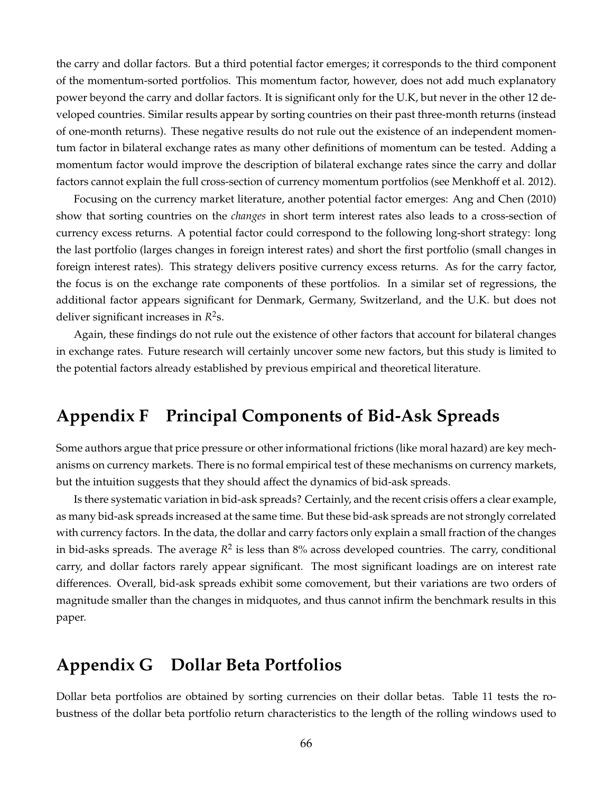the carry and dollar factors. But a third potential factor emerges; it corresponds to the third component of the momentum-sorted portfolios. This momentum factor, however, does not add much explanatory power beyond the carry and dollar factors. It is significant only for the U.K, but never in the other 12 developed countries. Similar results appear by sorting countries on their past three-month returns (instead of one-month returns). These negative results do not rule out the existence of an independent momentum factor in bilateral exchange rates as many other definitions of momentum can be tested. Adding a momentum factor would improve the description of bilateral exchange rates since the carry and dollar factors cannot explain the full cross-section of currency momentum portfolios (see Menkhoff et al. 2012).

Focusing on the currency market literature, another potential factor emerges: Ang and Chen (2010) show that sorting countries on the *changes* in short term interest rates also leads to a cross-section of currency excess returns. A potential factor could correspond to the following long-short strategy: long the last portfolio (larges changes in foreign interest rates) and short the first portfolio (small changes in foreign interest rates). This strategy delivers positive currency excess returns. As for the carry factor, the focus is on the exchange rate components of these portfolios. In a similar set of regressions, the additional factor appears significant for Denmark, Germany, Switzerland, and the U.K. but does not deliver significant increases in *R* 2 s.

Again, these findings do not rule out the existence of other factors that account for bilateral changes in exchange rates. Future research will certainly uncover some new factors, but this study is limited to the potential factors already established by previous empirical and theoretical literature.

# **Appendix F Principal Components of Bid-Ask Spreads**

Some authors argue that price pressure or other informational frictions (like moral hazard) are key mechanisms on currency markets. There is no formal empirical test of these mechanisms on currency markets, but the intuition suggests that they should affect the dynamics of bid-ask spreads.

Is there systematic variation in bid-ask spreads? Certainly, and the recent crisis offers a clear example, as many bid-ask spreads increased at the same time. But these bid-ask spreads are not strongly correlated with currency factors. In the data, the dollar and carry factors only explain a small fraction of the changes in bid-asks spreads. The average  $R^2$  is less than  $8\%$  across developed countries. The carry, conditional carry, and dollar factors rarely appear significant. The most significant loadings are on interest rate differences. Overall, bid-ask spreads exhibit some comovement, but their variations are two orders of magnitude smaller than the changes in midquotes, and thus cannot infirm the benchmark results in this paper.

## **Appendix G Dollar Beta Portfolios**

Dollar beta portfolios are obtained by sorting currencies on their dollar betas. Table 11 tests the robustness of the dollar beta portfolio return characteristics to the length of the rolling windows used to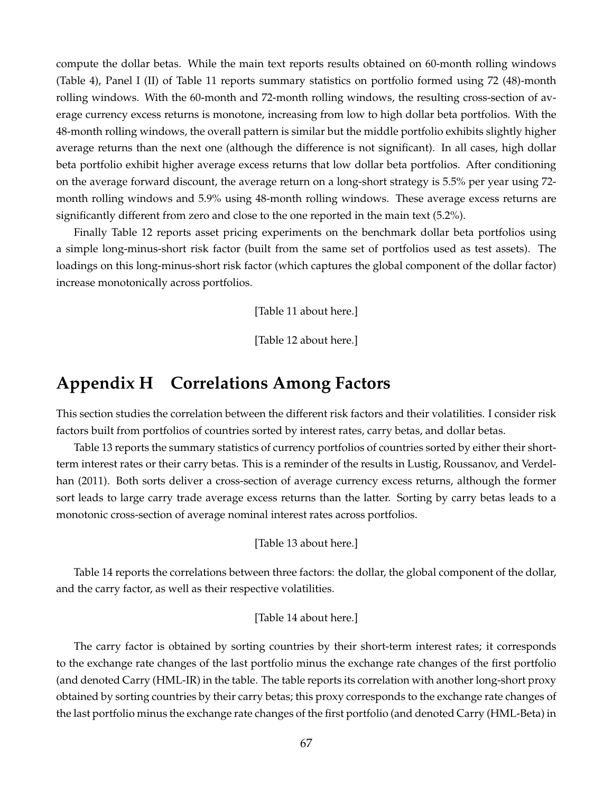compute the dollar betas. While the main text reports results obtained on 60-month rolling windows (Table 4), Panel I (II) of Table 11 reports summary statistics on portfolio formed using 72 (48)-month rolling windows. With the 60-month and 72-month rolling windows, the resulting cross-section of average currency excess returns is monotone, increasing from low to high dollar beta portfolios. With the 48-month rolling windows, the overall pattern is similar but the middle portfolio exhibits slightly higher average returns than the next one (although the difference is not significant). In all cases, high dollar beta portfolio exhibit higher average excess returns that low dollar beta portfolios. After conditioning on the average forward discount, the average return on a long-short strategy is 5.5% per year using 72 month rolling windows and 5.9% using 48-month rolling windows. These average excess returns are significantly different from zero and close to the one reported in the main text (5.2%).

Finally Table 12 reports asset pricing experiments on the benchmark dollar beta portfolios using a simple long-minus-short risk factor (built from the same set of portfolios used as test assets). The loadings on this long-minus-short risk factor (which captures the global component of the dollar factor) increase monotonically across portfolios.

[Table 11 about here.]

[Table 12 about here.]

### **Appendix H Correlations Among Factors**

This section studies the correlation between the different risk factors and their volatilities. I consider risk factors built from portfolios of countries sorted by interest rates, carry betas, and dollar betas.

Table 13 reports the summary statistics of currency portfolios of countries sorted by either their shortterm interest rates or their carry betas. This is a reminder of the results in Lustig, Roussanov, and Verdelhan (2011). Both sorts deliver a cross-section of average currency excess returns, although the former sort leads to large carry trade average excess returns than the latter. Sorting by carry betas leads to a monotonic cross-section of average nominal interest rates across portfolios.

[Table 13 about here.]

Table 14 reports the correlations between three factors: the dollar, the global component of the dollar, and the carry factor, as well as their respective volatilities.

#### [Table 14 about here.]

The carry factor is obtained by sorting countries by their short-term interest rates; it corresponds to the exchange rate changes of the last portfolio minus the exchange rate changes of the first portfolio (and denoted Carry (HML-IR) in the table. The table reports its correlation with another long-short proxy obtained by sorting countries by their carry betas; this proxy corresponds to the exchange rate changes of the last portfolio minus the exchange rate changes of the first portfolio (and denoted Carry (HML-Beta) in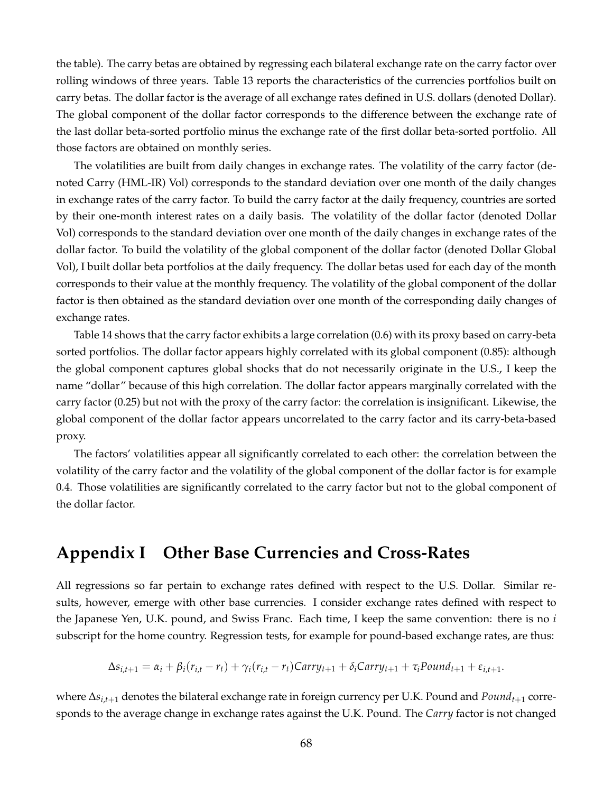the table). The carry betas are obtained by regressing each bilateral exchange rate on the carry factor over rolling windows of three years. Table 13 reports the characteristics of the currencies portfolios built on carry betas. The dollar factor is the average of all exchange rates defined in U.S. dollars (denoted Dollar). The global component of the dollar factor corresponds to the difference between the exchange rate of the last dollar beta-sorted portfolio minus the exchange rate of the first dollar beta-sorted portfolio. All those factors are obtained on monthly series.

The volatilities are built from daily changes in exchange rates. The volatility of the carry factor (denoted Carry (HML-IR) Vol) corresponds to the standard deviation over one month of the daily changes in exchange rates of the carry factor. To build the carry factor at the daily frequency, countries are sorted by their one-month interest rates on a daily basis. The volatility of the dollar factor (denoted Dollar Vol) corresponds to the standard deviation over one month of the daily changes in exchange rates of the dollar factor. To build the volatility of the global component of the dollar factor (denoted Dollar Global Vol), I built dollar beta portfolios at the daily frequency. The dollar betas used for each day of the month corresponds to their value at the monthly frequency. The volatility of the global component of the dollar factor is then obtained as the standard deviation over one month of the corresponding daily changes of exchange rates.

Table 14 shows that the carry factor exhibits a large correlation (0.6) with its proxy based on carry-beta sorted portfolios. The dollar factor appears highly correlated with its global component (0.85): although the global component captures global shocks that do not necessarily originate in the U.S., I keep the name "dollar" because of this high correlation. The dollar factor appears marginally correlated with the carry factor (0.25) but not with the proxy of the carry factor: the correlation is insignificant. Likewise, the global component of the dollar factor appears uncorrelated to the carry factor and its carry-beta-based proxy.

The factors' volatilities appear all significantly correlated to each other: the correlation between the volatility of the carry factor and the volatility of the global component of the dollar factor is for example 0.4. Those volatilities are significantly correlated to the carry factor but not to the global component of the dollar factor.

### **Appendix I Other Base Currencies and Cross-Rates**

All regressions so far pertain to exchange rates defined with respect to the U.S. Dollar. Similar results, however, emerge with other base currencies. I consider exchange rates defined with respect to the Japanese Yen, U.K. pound, and Swiss Franc. Each time, I keep the same convention: there is no *i* subscript for the home country. Regression tests, for example for pound-based exchange rates, are thus:

$$
\Delta s_{i,t+1} = \alpha_i + \beta_i (r_{i,t} - r_t) + \gamma_i (r_{i,t} - r_t) Carry_{t+1} + \delta_i Carry_{t+1} + \tau_i Pound_{t+1} + \varepsilon_{i,t+1}.
$$

where ∆*si*,*t*+<sup>1</sup> denotes the bilateral exchange rate in foreign currency per U.K. Pound and *Poundt*+<sup>1</sup> corresponds to the average change in exchange rates against the U.K. Pound. The *Carry* factor is not changed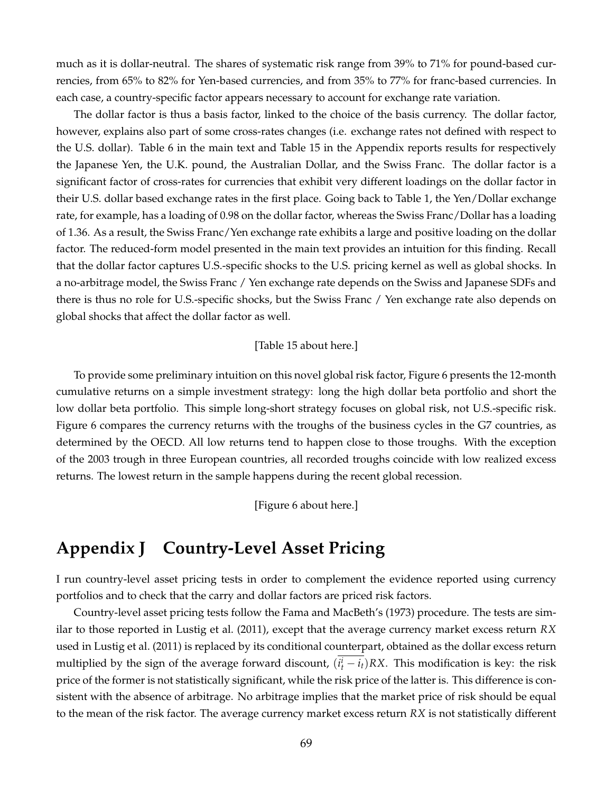much as it is dollar-neutral. The shares of systematic risk range from 39% to 71% for pound-based currencies, from 65% to 82% for Yen-based currencies, and from 35% to 77% for franc-based currencies. In each case, a country-specific factor appears necessary to account for exchange rate variation.

The dollar factor is thus a basis factor, linked to the choice of the basis currency. The dollar factor, however, explains also part of some cross-rates changes (i.e. exchange rates not defined with respect to the U.S. dollar). Table 6 in the main text and Table 15 in the Appendix reports results for respectively the Japanese Yen, the U.K. pound, the Australian Dollar, and the Swiss Franc. The dollar factor is a significant factor of cross-rates for currencies that exhibit very different loadings on the dollar factor in their U.S. dollar based exchange rates in the first place. Going back to Table 1, the Yen/Dollar exchange rate, for example, has a loading of 0.98 on the dollar factor, whereas the Swiss Franc/Dollar has a loading of 1.36. As a result, the Swiss Franc/Yen exchange rate exhibits a large and positive loading on the dollar factor. The reduced-form model presented in the main text provides an intuition for this finding. Recall that the dollar factor captures U.S.-specific shocks to the U.S. pricing kernel as well as global shocks. In a no-arbitrage model, the Swiss Franc / Yen exchange rate depends on the Swiss and Japanese SDFs and there is thus no role for U.S.-specific shocks, but the Swiss Franc / Yen exchange rate also depends on global shocks that affect the dollar factor as well.

#### [Table 15 about here.]

To provide some preliminary intuition on this novel global risk factor, Figure 6 presents the 12-month cumulative returns on a simple investment strategy: long the high dollar beta portfolio and short the low dollar beta portfolio. This simple long-short strategy focuses on global risk, not U.S.-specific risk. Figure 6 compares the currency returns with the troughs of the business cycles in the G7 countries, as determined by the OECD. All low returns tend to happen close to those troughs. With the exception of the 2003 trough in three European countries, all recorded troughs coincide with low realized excess returns. The lowest return in the sample happens during the recent global recession.

[Figure 6 about here.]

### **Appendix J Country-Level Asset Pricing**

I run country-level asset pricing tests in order to complement the evidence reported using currency portfolios and to check that the carry and dollar factors are priced risk factors.

Country-level asset pricing tests follow the Fama and MacBeth's (1973) procedure. The tests are similar to those reported in Lustig et al. (2011), except that the average currency market excess return *RX* used in Lustig et al. (2011) is replaced by its conditional counterpart, obtained as the dollar excess return multiplied by the sign of the average forward discount,  $(i_t^i - i_t)RX$ . This modification is key: the risk price of the former is not statistically significant, while the risk price of the latter is. This difference is consistent with the absence of arbitrage. No arbitrage implies that the market price of risk should be equal to the mean of the risk factor. The average currency market excess return *RX* is not statistically different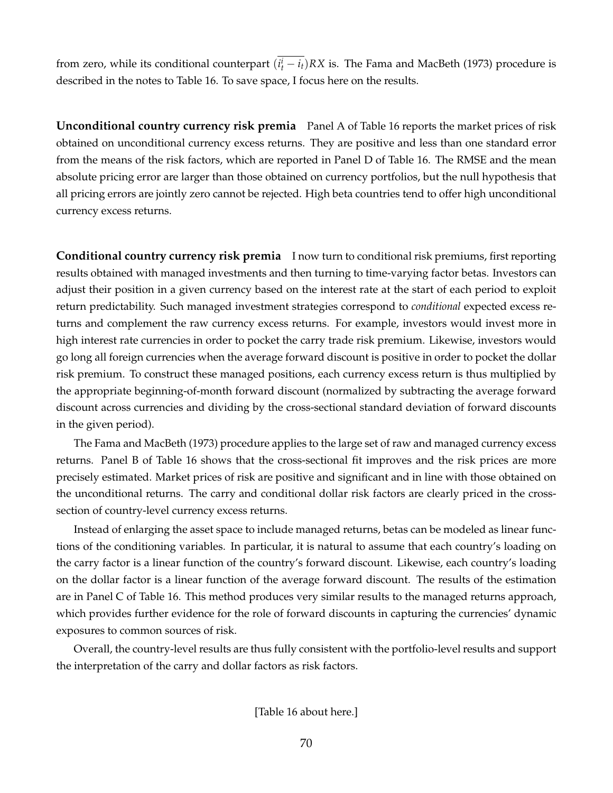from zero, while its conditional counterpart  $(i_t^i - i_t)RX$  is. The Fama and MacBeth (1973) procedure is described in the notes to Table 16. To save space, I focus here on the results.

**Unconditional country currency risk premia** Panel A of Table 16 reports the market prices of risk obtained on unconditional currency excess returns. They are positive and less than one standard error from the means of the risk factors, which are reported in Panel D of Table 16. The RMSE and the mean absolute pricing error are larger than those obtained on currency portfolios, but the null hypothesis that all pricing errors are jointly zero cannot be rejected. High beta countries tend to offer high unconditional currency excess returns.

**Conditional country currency risk premia** I now turn to conditional risk premiums, first reporting results obtained with managed investments and then turning to time-varying factor betas. Investors can adjust their position in a given currency based on the interest rate at the start of each period to exploit return predictability. Such managed investment strategies correspond to *conditional* expected excess returns and complement the raw currency excess returns. For example, investors would invest more in high interest rate currencies in order to pocket the carry trade risk premium. Likewise, investors would go long all foreign currencies when the average forward discount is positive in order to pocket the dollar risk premium. To construct these managed positions, each currency excess return is thus multiplied by the appropriate beginning-of-month forward discount (normalized by subtracting the average forward discount across currencies and dividing by the cross-sectional standard deviation of forward discounts in the given period).

The Fama and MacBeth (1973) procedure applies to the large set of raw and managed currency excess returns. Panel B of Table 16 shows that the cross-sectional fit improves and the risk prices are more precisely estimated. Market prices of risk are positive and significant and in line with those obtained on the unconditional returns. The carry and conditional dollar risk factors are clearly priced in the crosssection of country-level currency excess returns.

Instead of enlarging the asset space to include managed returns, betas can be modeled as linear functions of the conditioning variables. In particular, it is natural to assume that each country's loading on the carry factor is a linear function of the country's forward discount. Likewise, each country's loading on the dollar factor is a linear function of the average forward discount. The results of the estimation are in Panel C of Table 16. This method produces very similar results to the managed returns approach, which provides further evidence for the role of forward discounts in capturing the currencies' dynamic exposures to common sources of risk.

Overall, the country-level results are thus fully consistent with the portfolio-level results and support the interpretation of the carry and dollar factors as risk factors.

[Table 16 about here.]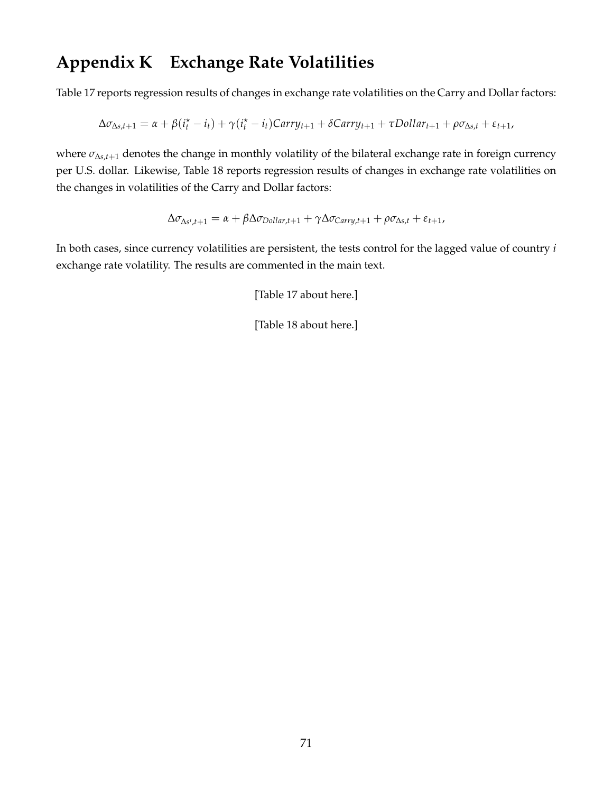# **Appendix K Exchange Rate Volatilities**

Table 17 reports regression results of changes in exchange rate volatilities on the Carry and Dollar factors:

$$
\Delta \sigma_{\Delta s,t+1} = \alpha + \beta(\dot{i}_t^* - i_t) + \gamma(\dot{i}_t^* - i_t)Carry_{t+1} + \delta Carry_{t+1} + \tau Dollar_{t+1} + \rho \sigma_{\Delta s,t} + \varepsilon_{t+1},
$$

where *σ*∆*s*,*t*+<sup>1</sup> denotes the change in monthly volatility of the bilateral exchange rate in foreign currency per U.S. dollar. Likewise, Table 18 reports regression results of changes in exchange rate volatilities on the changes in volatilities of the Carry and Dollar factors:

$$
\Delta \sigma_{\Delta s^i,t+1} = \alpha + \beta \Delta \sigma_{Dollar,t+1} + \gamma \Delta \sigma_{Carry,t+1} + \rho \sigma_{\Delta s,t} + \varepsilon_{t+1},
$$

In both cases, since currency volatilities are persistent, the tests control for the lagged value of country *i* exchange rate volatility. The results are commented in the main text.

[Table 17 about here.]

[Table 18 about here.]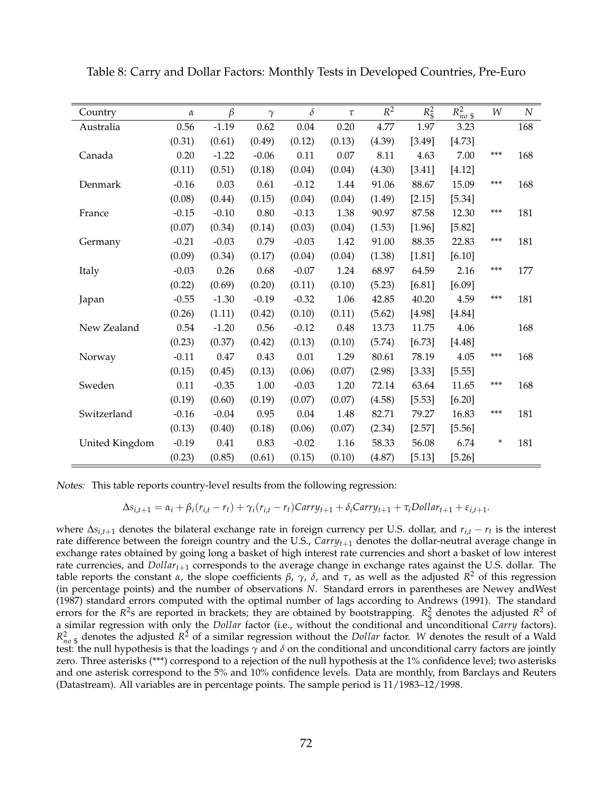| Country        | $\alpha$ | $\beta$ | $\gamma$ | $\delta$ | $\tau$ | $R^2$  | $R_{\rm s}^2$ | $R_{no~\$}^2$ | W   | $\boldsymbol{N}$ |
|----------------|----------|---------|----------|----------|--------|--------|---------------|---------------|-----|------------------|
| Australia      | 0.56     | $-1.19$ | 0.62     | 0.04     | 0.20   | 4.77   | 1.97          | 3.23          |     | 168              |
|                | (0.31)   | (0.61)  | (0.49)   | (0.12)   | (0.13) | (4.39) | [3.49]        | [4.73]        |     |                  |
| Canada         | 0.20     | $-1.22$ | $-0.06$  | 0.11     | 0.07   | 8.11   | 4.63          | 7.00          | *** | 168              |
|                | (0.11)   | (0.51)  | (0.18)   | (0.04)   | (0.04) | (4.30) | [3.41]        | [4.12]        |     |                  |
| Denmark        | $-0.16$  | 0.03    | 0.61     | $-0.12$  | 1.44   | 91.06  | 88.67         | 15.09         | *** | 168              |
|                | (0.08)   | (0.44)  | (0.15)   | (0.04)   | (0.04) | (1.49) | [2.15]        | [5.34]        |     |                  |
| France         | $-0.15$  | $-0.10$ | 0.80     | $-0.13$  | 1.38   | 90.97  | 87.58         | 12.30         | *** | 181              |
|                | (0.07)   | (0.34)  | (0.14)   | (0.03)   | (0.04) | (1.53) | [1.96]        | [5.82]        |     |                  |
| Germany        | $-0.21$  | $-0.03$ | 0.79     | $-0.03$  | 1.42   | 91.00  | 88.35         | 22.83         | *** | 181              |
|                | (0.09)   | (0.34)  | (0.17)   | (0.04)   | (0.04) | (1.38) | [1.81]        | [6.10]        |     |                  |
| Italy          | $-0.03$  | 0.26    | 0.68     | $-0.07$  | 1.24   | 68.97  | 64.59         | 2.16          | *** | 177              |
|                | (0.22)   | (0.69)  | (0.20)   | (0.11)   | (0.10) | (5.23) | [6.81]        | [6.09]        |     |                  |
| Japan          | $-0.55$  | $-1.30$ | $-0.19$  | $-0.32$  | 1.06   | 42.85  | 40.20         | 4.59          | *** | 181              |
|                | (0.26)   | (1.11)  | (0.42)   | (0.10)   | (0.11) | (5.62) | [4.98]        | [4.84]        |     |                  |
| New Zealand    | 0.54     | $-1.20$ | 0.56     | $-0.12$  | 0.48   | 13.73  | 11.75         | 4.06          |     | 168              |
|                | (0.23)   | (0.37)  | (0.42)   | (0.13)   | (0.10) | (5.74) | [6.73]        | [4.48]        |     |                  |
| Norway         | $-0.11$  | 0.47    | 0.43     | 0.01     | 1.29   | 80.61  | 78.19         | 4.05          | *** | 168              |
|                | (0.15)   | (0.45)  | (0.13)   | (0.06)   | (0.07) | (2.98) | [3.33]        | [5.55]        |     |                  |
| Sweden         | 0.11     | $-0.35$ | 1.00     | $-0.03$  | 1.20   | 72.14  | 63.64         | 11.65         | *** | 168              |
|                | (0.19)   | (0.60)  | (0.19)   | (0.07)   | (0.07) | (4.58) | [5.53]        | [6.20]        |     |                  |
| Switzerland    | $-0.16$  | $-0.04$ | 0.95     | 0.04     | 1.48   | 82.71  | 79.27         | 16.83         | *** | 181              |
|                | (0.13)   | (0.40)  | (0.18)   | (0.06)   | (0.07) | (2.34) | [2.57]        | [5.56]        |     |                  |
| United Kingdom | $-0.19$  | 0.41    | 0.83     | $-0.02$  | 1.16   | 58.33  | 56.08         | 6.74          | *   | 181              |
|                | (0.23)   | (0.85)  | (0.61)   | (0.15)   | (0.10) | (4.87) | [5.13]        | [5.26]        |     |                  |

Table 8: Carry and Dollar Factors: Monthly Tests in Developed Countries, Pre-Euro

Notes: This table reports country-level results from the following regression:

$$
\Delta s_{i,t+1} = \alpha_i + \beta_i (r_{i,t} - r_t) + \gamma_i (r_{i,t} - r_t) Carry_{t+1} + \delta_i Carry_{t+1} + \tau_i \text{Dollar}_{t+1} + \varepsilon_{i,t+1}.
$$

where ∆*si*,*t*+<sup>1</sup> denotes the bilateral exchange rate in foreign currency per U.S. dollar, and *ri*,*<sup>t</sup>* − *r<sup>t</sup>* is the interest rate difference between the foreign country and the U.S., *Carryt*+<sup>1</sup> denotes the dollar-neutral average change in exchange rates obtained by going long a basket of high interest rate currencies and short a basket of low interest rate currencies, and *Dollart*+<sup>1</sup> corresponds to the average change in exchange rates against the U.S. dollar. The table reports the constant *α*, the slope coefficients *β*, *γ*, *δ*, and *τ*, as well as the adjusted *R* <sup>2</sup> of this regression (in percentage points) and the number of observations *N*. Standard errors in parentheses are Newey andWest (1987) standard errors computed with the optimal number of lags according to Andrews (1991). The standard errors for the  $R^2$ s are reported in brackets; they are obtained by bootstrapping.  $R^2$  denotes the adjusted  $R^2$  of a similar regression with only the *Dollar* factor (i.e., without the conditional and unconditional *Carry* factors).  $R_{no\;$\xi$}^2$  denotes the adjusted  $R^2$  of a similar regression without the *Dollar* factor. *W* denotes the result of a Wald test: the null hypothesis is that the loadings *γ* and *δ* on the conditional and unconditional carry factors are jointly zero. Three asterisks (\*\*\*) correspond to a rejection of the null hypothesis at the 1% confidence level; two asterisks and one asterisk correspond to the 5% and 10% confidence levels. Data are monthly, from Barclays and Reuters (Datastream). All variables are in percentage points. The sample period is 11/1983–12/1998.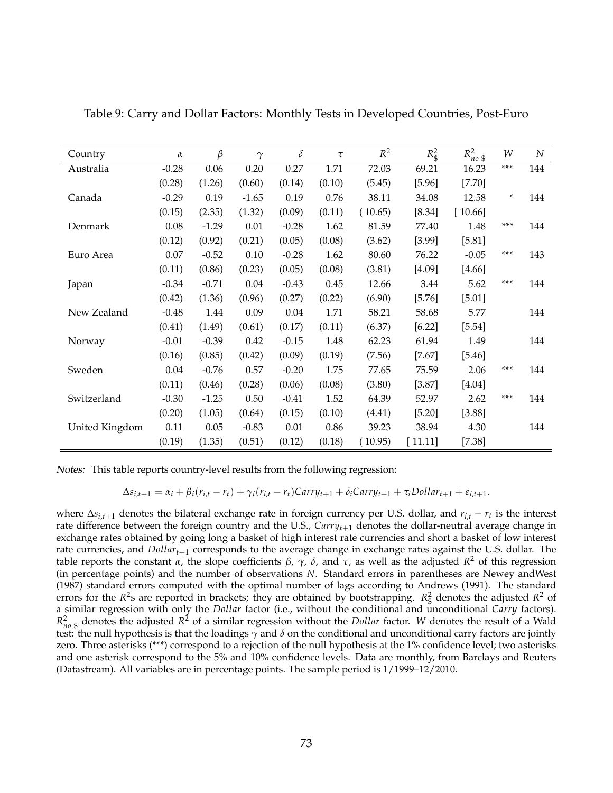| Country        | $\alpha$ | β       | $\gamma$ | $\delta$ | $\tau$ | $\overline{R^2}$ | $R_{\rm s}^2$ | $R_{no~$}^2$ | W      | $\boldsymbol{N}$ |
|----------------|----------|---------|----------|----------|--------|------------------|---------------|--------------|--------|------------------|
| Australia      | $-0.28$  | 0.06    | 0.20     | 0.27     | 1.71   | 72.03            | 69.21         | 16.23        | $***$  | 144              |
|                | (0.28)   | (1.26)  | (0.60)   | (0.14)   | (0.10) | (5.45)           | [5.96]        | [7.70]       |        |                  |
| Canada         | $-0.29$  | 0.19    | $-1.65$  | 0.19     | 0.76   | 38.11            | 34.08         | 12.58        | $\ast$ | 144              |
|                | (0.15)   | (2.35)  | (1.32)   | (0.09)   | (0.11) | (10.65)          | [8.34]        | [10.66]      |        |                  |
| Denmark        | 0.08     | $-1.29$ | 0.01     | $-0.28$  | 1.62   | 81.59            | 77.40         | 1.48         | ***    | 144              |
|                | (0.12)   | (0.92)  | (0.21)   | (0.05)   | (0.08) | (3.62)           | [3.99]        | [5.81]       |        |                  |
| Euro Area      | 0.07     | $-0.52$ | 0.10     | $-0.28$  | 1.62   | 80.60            | 76.22         | $-0.05$      | ***    | 143              |
|                | (0.11)   | (0.86)  | (0.23)   | (0.05)   | (0.08) | (3.81)           | [4.09]        | [4.66]       |        |                  |
| Japan          | $-0.34$  | $-0.71$ | 0.04     | $-0.43$  | 0.45   | 12.66            | 3.44          | 5.62         | ***    | 144              |
|                | (0.42)   | (1.36)  | (0.96)   | (0.27)   | (0.22) | (6.90)           | [5.76]        | [5.01]       |        |                  |
| New Zealand    | $-0.48$  | 1.44    | 0.09     | 0.04     | 1.71   | 58.21            | 58.68         | 5.77         |        | 144              |
|                | (0.41)   | (1.49)  | (0.61)   | (0.17)   | (0.11) | (6.37)           | [6.22]        | [5.54]       |        |                  |
| Norway         | $-0.01$  | $-0.39$ | 0.42     | $-0.15$  | 1.48   | 62.23            | 61.94         | 1.49         |        | 144              |
|                | (0.16)   | (0.85)  | (0.42)   | (0.09)   | (0.19) | (7.56)           | $[7.67]$      | [5.46]       |        |                  |
| Sweden         | 0.04     | $-0.76$ | 0.57     | $-0.20$  | 1.75   | 77.65            | 75.59         | 2.06         | ***    | 144              |
|                | (0.11)   | (0.46)  | (0.28)   | (0.06)   | (0.08) | (3.80)           | [3.87]        | [4.04]       |        |                  |
| Switzerland    | $-0.30$  | $-1.25$ | 0.50     | $-0.41$  | 1.52   | 64.39            | 52.97         | 2.62         | ***    | 144              |
|                | (0.20)   | (1.05)  | (0.64)   | (0.15)   | (0.10) | (4.41)           | [5.20]        | [3.88]       |        |                  |
| United Kingdom | 0.11     | 0.05    | $-0.83$  | 0.01     | 0.86   | 39.23            | 38.94         | 4.30         |        | 144              |
|                | (0.19)   | (1.35)  | (0.51)   | (0.12)   | (0.18) | (10.95)          | [11.11]       | $[7.38]$     |        |                  |

Table 9: Carry and Dollar Factors: Monthly Tests in Developed Countries, Post-Euro

Notes: This table reports country-level results from the following regression:

$$
\Delta s_{i,t+1} = \alpha_i + \beta_i (r_{i,t} - r_t) + \gamma_i (r_{i,t} - r_t) Carry_{t+1} + \delta_i Carry_{t+1} + \tau_i \text{Dollar}_{t+1} + \varepsilon_{i,t+1}.
$$

where ∆*si*,*t*+<sup>1</sup> denotes the bilateral exchange rate in foreign currency per U.S. dollar, and *ri*,*<sup>t</sup>* − *r<sup>t</sup>* is the interest rate difference between the foreign country and the U.S., *Carry*<sub>t+1</sub> denotes the dollar-neutral average change in exchange rates obtained by going long a basket of high interest rate currencies and short a basket of low interest rate currencies, and *Dollart*+<sup>1</sup> corresponds to the average change in exchange rates against the U.S. dollar. The table reports the constant *α*, the slope coefficients *β*, *γ*, *δ*, and *τ*, as well as the adjusted *R* <sup>2</sup> of this regression (in percentage points) and the number of observations *N*. Standard errors in parentheses are Newey andWest (1987) standard errors computed with the optimal number of lags according to Andrews (1991). The standard errors for the  $R^2$ s are reported in brackets; they are obtained by bootstrapping.  $R^2$  denotes the adjusted  $R^2$  of a similar regression with only the *Dollar* factor (i.e., without the conditional and unconditional *Carry* factors).  $R_{no\;$\}_{\rm s}$  denotes the adjusted  $R^2$  of a similar regression without the *Dollar* factor. *W* denotes the result of a Wald test: the null hypothesis is that the loadings *γ* and *δ* on the conditional and unconditional carry factors are jointly zero. Three asterisks (\*\*\*) correspond to a rejection of the null hypothesis at the 1% confidence level; two asterisks and one asterisk correspond to the 5% and 10% confidence levels. Data are monthly, from Barclays and Reuters (Datastream). All variables are in percentage points. The sample period is 1/1999–12/2010.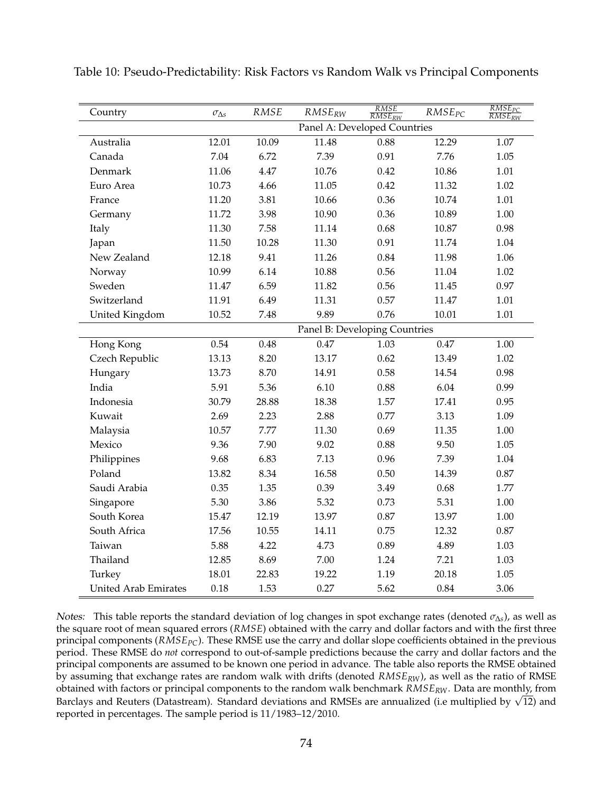| Country                     | $\sigma_{\Delta s}$ | RMSE  | $RMSE_{RW}$                   | $\frac{RMSE}{RMSE_{RW}}$ | $RMSE_{PC}$ | $\frac{RMSE_{PC}}{RMSE_{RW}}$ |
|-----------------------------|---------------------|-------|-------------------------------|--------------------------|-------------|-------------------------------|
|                             |                     |       | Panel A: Developed Countries  |                          |             |                               |
| Australia                   | 12.01               | 10.09 | 11.48                         | 0.88                     | 12.29       | 1.07                          |
| Canada                      | 7.04                | 6.72  | 7.39                          | 0.91                     | 7.76        | 1.05                          |
| Denmark                     | 11.06               | 4.47  | 10.76                         | 0.42                     | 10.86       | 1.01                          |
| Euro Area                   | 10.73               | 4.66  | 11.05                         | 0.42                     | 11.32       | 1.02                          |
| France                      | 11.20               | 3.81  | 10.66                         | 0.36                     | 10.74       | 1.01                          |
| Germany                     | 11.72               | 3.98  | 10.90                         | 0.36                     | 10.89       | 1.00                          |
| Italy                       | 11.30               | 7.58  | 11.14                         | 0.68                     | 10.87       | 0.98                          |
| Japan                       | 11.50               | 10.28 | 11.30                         | 0.91                     | 11.74       | 1.04                          |
| New Zealand                 | 12.18               | 9.41  | 11.26                         | 0.84                     | 11.98       | 1.06                          |
| Norway                      | 10.99               | 6.14  | 10.88                         | 0.56                     | 11.04       | 1.02                          |
| Sweden                      | 11.47               | 6.59  | 11.82                         | 0.56                     | 11.45       | 0.97                          |
| Switzerland                 | 11.91               | 6.49  | 11.31                         | 0.57                     | 11.47       | 1.01                          |
| United Kingdom              | 10.52               | 7.48  | 9.89                          | 0.76                     | 10.01       | 1.01                          |
|                             |                     |       | Panel B: Developing Countries |                          |             |                               |
| Hong Kong                   | 0.54                | 0.48  | 0.47                          | 1.03                     | 0.47        | 1.00                          |
| Czech Republic              | 13.13               | 8.20  | 13.17                         | 0.62                     | 13.49       | 1.02                          |
| Hungary                     | 13.73               | 8.70  | 14.91                         | 0.58                     | 14.54       | 0.98                          |
| India                       | 5.91                | 5.36  | 6.10                          | 0.88                     | 6.04        | 0.99                          |
| Indonesia                   | 30.79               | 28.88 | 18.38                         | 1.57                     | 17.41       | 0.95                          |
| Kuwait                      | 2.69                | 2.23  | 2.88                          | 0.77                     | 3.13        | 1.09                          |
| Malaysia                    | 10.57               | 7.77  | 11.30                         | 0.69                     | 11.35       | 1.00                          |
| Mexico                      | 9.36                | 7.90  | 9.02                          | 0.88                     | 9.50        | 1.05                          |
| Philippines                 | 9.68                | 6.83  | 7.13                          | 0.96                     | 7.39        | 1.04                          |
| Poland                      | 13.82               | 8.34  | 16.58                         | 0.50                     | 14.39       | $0.87\,$                      |
| Saudi Arabia                | 0.35                | 1.35  | 0.39                          | 3.49                     | 0.68        | 1.77                          |
| Singapore                   | 5.30                | 3.86  | 5.32                          | 0.73                     | 5.31        | 1.00                          |
| South Korea                 | 15.47               | 12.19 | 13.97                         | 0.87                     | 13.97       | 1.00                          |
| South Africa                | 17.56               | 10.55 | 14.11                         | 0.75                     | 12.32       | $0.87\,$                      |
| Taiwan                      | 5.88                | 4.22  | 4.73                          | 0.89                     | 4.89        | 1.03                          |
| Thailand                    | 12.85               | 8.69  | 7.00                          | 1.24                     | 7.21        | 1.03                          |
| Turkey                      | 18.01               | 22.83 | 19.22                         | 1.19                     | 20.18       | 1.05                          |
| <b>United Arab Emirates</b> | 0.18                | 1.53  | 0.27                          | 5.62                     | 0.84        | 3.06                          |

Table 10: Pseudo-Predictability: Risk Factors vs Random Walk vs Principal Components

Notes: This table reports the standard deviation of log changes in spot exchange rates (denoted *σ*∆*<sup>s</sup>* ), as well as the square root of mean squared errors (*RMSE*) obtained with the carry and dollar factors and with the first three principal components (*RMSEPC*). These RMSE use the carry and dollar slope coefficients obtained in the previous period. These RMSE do *not* correspond to out-of-sample predictions because the carry and dollar factors and the principal components are assumed to be known one period in advance. The table also reports the RMSE obtained by assuming that exchange rates are random walk with drifts (denoted *RMSERW*), as well as the ratio of RMSE obtained with factors or principal components to the random walk benchmark *RMSERW*. Data are monthly, from obtained with factors or principal components to the random waik benchmark K*MSERW*. Data are monthly, from<br>Barclays and Reuters (Datastream). Standard deviations and RMSEs are annualized (i.e multiplied by √12) and reported in percentages. The sample period is 11/1983–12/2010.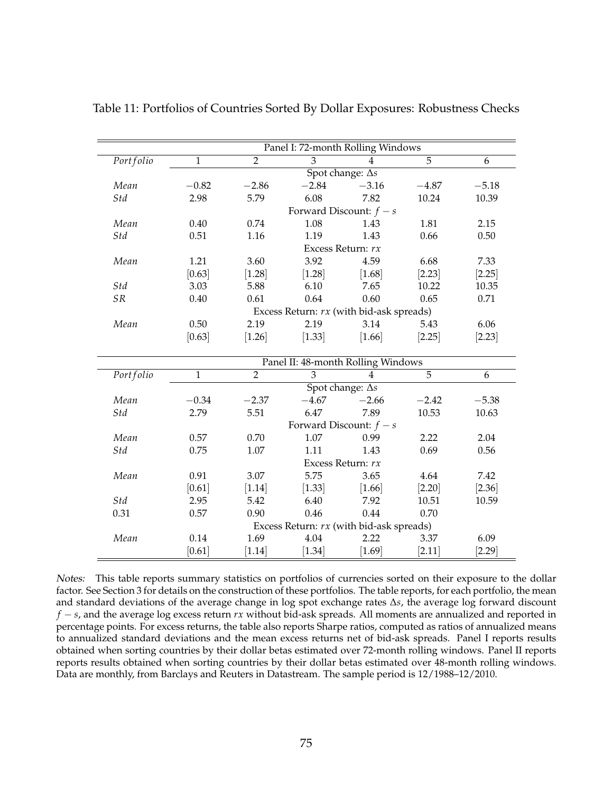|                                    |                |                   | Panel I: 72-month Rolling Windows        |                         |                |          |  |  |  |  |  |
|------------------------------------|----------------|-------------------|------------------------------------------|-------------------------|----------------|----------|--|--|--|--|--|
| Portfolio                          | $\overline{1}$ | $\overline{2}$    | 3                                        | $\overline{4}$          | $\overline{5}$ | 6        |  |  |  |  |  |
|                                    |                |                   |                                          | Spot change: $\Delta s$ |                |          |  |  |  |  |  |
| Mean                               | $-0.82$        | $-2.86$           | $-2.84$                                  | $-3.16$                 | $-4.87$        | $-5.18$  |  |  |  |  |  |
| Std                                | 2.98           | 5.79              | 6.08                                     | 7.82                    | 10.24          | 10.39    |  |  |  |  |  |
|                                    |                |                   | Forward Discount: $f - s$                |                         |                |          |  |  |  |  |  |
| Mean                               | 0.40           | 0.74              | 1.08                                     | 1.43                    | 1.81           | 2.15     |  |  |  |  |  |
| Std                                | 0.51           | 1.16              | 1.19                                     | 1.43                    | 0.66           | 0.50     |  |  |  |  |  |
|                                    |                | Excess Return: rx |                                          |                         |                |          |  |  |  |  |  |
| Mean                               | 1.21           | 3.60              | 3.92                                     | 4.59                    | 6.68           | 7.33     |  |  |  |  |  |
|                                    | [0.63]         | [1.28]            | [1.28]                                   | $[1.68]$                | [2.23]         | $[2.25]$ |  |  |  |  |  |
| Std                                | 3.03           | 5.88              | 6.10                                     | 7.65                    | 10.22          | 10.35    |  |  |  |  |  |
| <b>SR</b>                          | 0.40           | 0.61              | 0.64                                     | 0.60                    | 0.65           | 0.71     |  |  |  |  |  |
|                                    |                |                   | Excess Return: rx (with bid-ask spreads) |                         |                |          |  |  |  |  |  |
| Mean                               | 0.50           | 2.19              | 2.19                                     | 3.14                    | 5.43           | 6.06     |  |  |  |  |  |
|                                    | [0.63]         | $[1.26]$          | [1.33]                                   | [1.66]                  | [2.25]         | $[2.23]$ |  |  |  |  |  |
| Panel II: 48-month Rolling Windows |                |                   |                                          |                         |                |          |  |  |  |  |  |
| Portfolio                          | $\overline{1}$ | $\overline{2}$    | $\overline{3}$                           | $\overline{4}$          | $\overline{5}$ | 6        |  |  |  |  |  |
|                                    |                |                   |                                          | Spot change: $\Delta s$ |                |          |  |  |  |  |  |
| Mean                               | $-0.34$        | $-2.37$           | $-4.67$                                  | $-2.66$                 | $-2.42$        | $-5.38$  |  |  |  |  |  |
| Std                                | 2.79           | 5.51              | 6.47                                     | 7.89                    | 10.53          | 10.63    |  |  |  |  |  |
|                                    |                |                   | Forward Discount: $f - s$                |                         |                |          |  |  |  |  |  |
| Mean                               | 0.57           | 0.70              | 1.07                                     | 0.99                    | 2.22           | 2.04     |  |  |  |  |  |
| Std                                | 0.75           | 1.07              | 1.11                                     | 1.43                    | 0.69           | 0.56     |  |  |  |  |  |
|                                    |                |                   | Excess Return: rx                        |                         |                |          |  |  |  |  |  |
| Mean                               | 0.91           | 3.07              | 5.75                                     | 3.65                    | 4.64           | 7.42     |  |  |  |  |  |
|                                    | [0.61]         | $[1.14]$          | [1.33]                                   | $[1.66]$                | $[2.20]$       | $[2.36]$ |  |  |  |  |  |
| Std                                | 2.95           | 5.42              | 6.40                                     | 7.92                    | 10.51          | 10.59    |  |  |  |  |  |
| 0.31                               | 0.57           | 0.90              | 0.46                                     | 0.44                    | 0.70           |          |  |  |  |  |  |
|                                    |                |                   | Excess Return: rx (with bid-ask spreads) |                         |                |          |  |  |  |  |  |
| Mean                               | 0.14           | 1.69              | 4.04                                     | 2.22                    | 3.37           | 6.09     |  |  |  |  |  |
|                                    | [0.61]         | $[1.14]$          | $[1.34]$                                 | [1.69]                  | $[2.11]$       | [2.29]   |  |  |  |  |  |

Table 11: Portfolios of Countries Sorted By Dollar Exposures: Robustness Checks

Notes: This table reports summary statistics on portfolios of currencies sorted on their exposure to the dollar factor. See Section 3 for details on the construction of these portfolios. The table reports, for each portfolio, the mean and standard deviations of the average change in log spot exchange rates ∆*s*, the average log forward discount *f* − *s*, and the average log excess return *rx* without bid-ask spreads. All moments are annualized and reported in percentage points. For excess returns, the table also reports Sharpe ratios, computed as ratios of annualized means to annualized standard deviations and the mean excess returns net of bid-ask spreads. Panel I reports results obtained when sorting countries by their dollar betas estimated over 72-month rolling windows. Panel II reports reports results obtained when sorting countries by their dollar betas estimated over 48-month rolling windows. Data are monthly, from Barclays and Reuters in Datastream. The sample period is 12/1988–12/2010.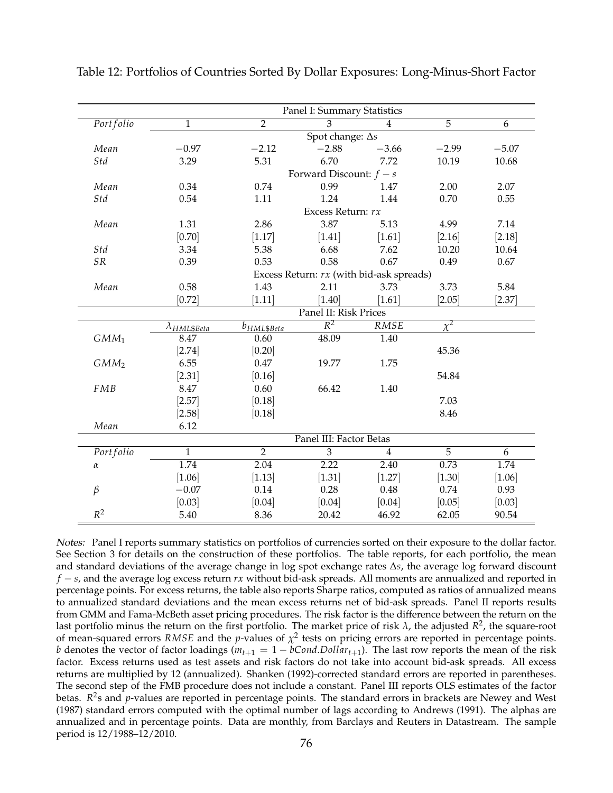|             |                       |                                          | Panel I: Summary Statistics |                   |                |          |  |  |  |  |
|-------------|-----------------------|------------------------------------------|-----------------------------|-------------------|----------------|----------|--|--|--|--|
| Portfolio   | $\mathbf{1}$          | $\overline{2}$                           | $\overline{3}$              | $\overline{4}$    | $\overline{5}$ | 6        |  |  |  |  |
|             |                       |                                          | Spot change: $\Delta s$     |                   |                |          |  |  |  |  |
| Mean        | $-0.97$               | $-2.12$                                  | $-2.88$                     | $-3.66$           | $-2.99$        | $-5.07$  |  |  |  |  |
| Std         | 3.29                  | 5.31                                     | 6.70                        | 7.72              | 10.19          | 10.68    |  |  |  |  |
|             |                       |                                          | Forward Discount: $f - s$   |                   |                |          |  |  |  |  |
| Mean        | 0.34                  | 0.74                                     | 0.99                        | 1.47              | 2.00           | 2.07     |  |  |  |  |
| Std         | 0.54                  | 1.11                                     | 1.24                        | 1.44              | 0.70           | 0.55     |  |  |  |  |
|             |                       |                                          | Excess Return: rx           |                   |                |          |  |  |  |  |
| Mean        | 1.31                  | 2.86                                     | 3.87                        | 5.13              | 4.99           | 7.14     |  |  |  |  |
|             | $[0.70]$              | $[1.17]$                                 | $[1.41]$                    | $[1.61]$          | [2.16]         | [2.18]   |  |  |  |  |
| Std         | 3.34                  | 5.38                                     | 6.68                        | 7.62              | 10.20          | 10.64    |  |  |  |  |
| ${\cal SR}$ | 0.39                  | 0.53                                     | 0.58                        | 0.67              | 0.49           | 0.67     |  |  |  |  |
|             |                       | Excess Return: rx (with bid-ask spreads) |                             |                   |                |          |  |  |  |  |
| Mean        | 0.58                  | 1.43                                     | 2.11                        | 3.73              | 3.73           | 5.84     |  |  |  |  |
|             | $[0.72]$              | $[1.11]$                                 | $[1.40]$                    | $[1.61]$          | [2.05]         | $[2.37]$ |  |  |  |  |
|             |                       |                                          | Panel II: Risk Prices       |                   |                |          |  |  |  |  |
|             | $\lambda_{HML\$Beta}$ | b <sub>HML\$Beta</sub>                   | $\overline{R^2}$            | RMSE              | $\chi^2$       |          |  |  |  |  |
| $GMM_1$     | 8.47                  | 0.60                                     | 48.09                       | $\overline{1.40}$ |                |          |  |  |  |  |
|             | $[2.74]$              | [0.20]                                   |                             |                   | 45.36          |          |  |  |  |  |
| $GMM_2$     | 6.55                  | 0.47                                     | 19.77                       | 1.75              |                |          |  |  |  |  |
|             | $[2.31]$              | [0.16]                                   |                             |                   | 54.84          |          |  |  |  |  |
| FMB         | 8.47                  | 0.60                                     | 66.42                       | 1.40              |                |          |  |  |  |  |
|             | $[2.57]$              | [0.18]                                   |                             |                   | 7.03           |          |  |  |  |  |
|             | $[2.58]$              | [0.18]                                   |                             |                   | 8.46           |          |  |  |  |  |
| Mean        | 6.12                  |                                          |                             |                   |                |          |  |  |  |  |
|             |                       |                                          | Panel III: Factor Betas     |                   |                |          |  |  |  |  |
| Portfolio   | $\overline{1}$        | $\overline{2}$                           | $\overline{3}$              | $\overline{4}$    | $\overline{5}$ | 6        |  |  |  |  |
| $\alpha$    | 1.74                  | 2.04                                     | 2.22                        | 2.40              | 0.73           | 1.74     |  |  |  |  |
|             | [1.06]                | [1.13]                                   | $[1.31]$                    | $[1.27]$          | [1.30]         | $[1.06]$ |  |  |  |  |
| $\beta$     | $-0.07$               | 0.14                                     | 0.28                        | 0.48              | 0.74           | 0.93     |  |  |  |  |
|             | [0.03]                | [0.04]                                   | [0.04]                      | [0.04]            | [0.05]         | [0.03]   |  |  |  |  |
| $R^2$       | 5.40                  | 8.36                                     | 20.42                       | 46.92             | 62.05          | 90.54    |  |  |  |  |

Table 12: Portfolios of Countries Sorted By Dollar Exposures: Long-Minus-Short Factor

Notes: Panel I reports summary statistics on portfolios of currencies sorted on their exposure to the dollar factor. See Section 3 for details on the construction of these portfolios. The table reports, for each portfolio, the mean and standard deviations of the average change in log spot exchange rates ∆*s*, the average log forward discount *f* − *s*, and the average log excess return *rx* without bid-ask spreads. All moments are annualized and reported in percentage points. For excess returns, the table also reports Sharpe ratios, computed as ratios of annualized means to annualized standard deviations and the mean excess returns net of bid-ask spreads. Panel II reports results from GMM and Fama-McBeth asset pricing procedures. The risk factor is the difference between the return on the last portfolio minus the return on the first portfolio. The market price of risk  $\lambda$ , the adjusted  $R^2$ , the square-root of mean-squared errors *RMSE* and the *p*-values of  $\chi^2$  tests on pricing errors are reported in percentage points. *b* denotes the vector of factor loadings ( $m_{t+1} = 1 - bCond.Dollar_{t+1}$ ). The last row reports the mean of the risk factor. Excess returns used as test assets and risk factors do not take into account bid-ask spreads. All excess returns are multiplied by 12 (annualized). Shanken (1992)-corrected standard errors are reported in parentheses. The second step of the FMB procedure does not include a constant. Panel III reports OLS estimates of the factor betas. R<sup>2</sup>s and p-values are reported in percentage points. The standard errors in brackets are Newey and West (1987) standard errors computed with the optimal number of lags according to Andrews (1991). The alphas are annualized and in percentage points. Data are monthly, from Barclays and Reuters in Datastream. The sample period is 12/1988–12/2010.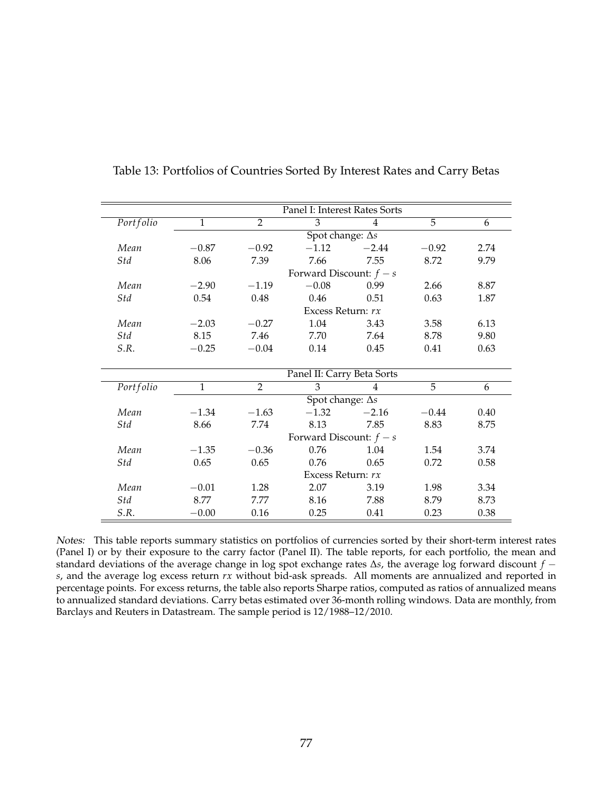|           | Panel I: Interest Rates Sorts |                |                            |         |         |      |  |  |  |  |  |  |
|-----------|-------------------------------|----------------|----------------------------|---------|---------|------|--|--|--|--|--|--|
| Portfolio | $\mathbf{1}$                  | $\overline{2}$ | 3                          | 4       | 5       | 6    |  |  |  |  |  |  |
|           |                               |                | Spot change: $\Delta s$    |         |         |      |  |  |  |  |  |  |
| Mean      | $-0.87$                       | $-0.92$        | $-1.12$                    | $-2.44$ | $-0.92$ | 2.74 |  |  |  |  |  |  |
| Std       | 8.06                          | 7.39           | 7.66                       | 7.55    | 8.72    | 9.79 |  |  |  |  |  |  |
|           |                               |                | Forward Discount: $f - s$  |         |         |      |  |  |  |  |  |  |
| Mean      | $-2.90$                       | $-1.19$        | $-0.08$                    | 0.99    | 2.66    | 8.87 |  |  |  |  |  |  |
| Std       | 0.54                          | 0.48           | 0.46                       | 0.51    | 0.63    | 1.87 |  |  |  |  |  |  |
|           |                               |                | Excess Return: rx          |         |         |      |  |  |  |  |  |  |
| Mean      | $-2.03$                       | $-0.27$        | 1.04                       | 3.43    | 3.58    | 6.13 |  |  |  |  |  |  |
| Std       | 8.15                          | 7.46           | 7.70                       | 7.64    | 8.78    | 9.80 |  |  |  |  |  |  |
| S.R.      | $-0.25$                       | $-0.04$        | 0.14                       | 0.45    | 0.41    | 0.63 |  |  |  |  |  |  |
|           |                               |                |                            |         |         |      |  |  |  |  |  |  |
|           |                               |                | Panel II: Carry Beta Sorts |         |         |      |  |  |  |  |  |  |
| Portfolio | $\mathbf{1}$                  | $\overline{2}$ | 3                          | 4       | 5       | 6    |  |  |  |  |  |  |
|           |                               |                | Spot change: $\Delta s$    |         |         |      |  |  |  |  |  |  |
| Mean      | $-1.34$                       | $-1.63$        | $-1.32$                    | $-2.16$ | $-0.44$ | 0.40 |  |  |  |  |  |  |
| Std       | 8.66                          | 7.74           | 8.13                       | 7.85    | 8.83    | 8.75 |  |  |  |  |  |  |
|           |                               |                | Forward Discount: $f - s$  |         |         |      |  |  |  |  |  |  |
| Mean      | $-1.35$                       | $-0.36$        | 0.76                       | 1.04    | 1.54    | 3.74 |  |  |  |  |  |  |
| Std       | 0.65                          | 0.65           | 0.76                       | 0.65    | 0.72    | 0.58 |  |  |  |  |  |  |
|           |                               |                | Excess Return: rx          |         |         |      |  |  |  |  |  |  |
| Mean      | $-0.01$                       | 1.28           | 2.07                       | 3.19    | 1.98    | 3.34 |  |  |  |  |  |  |
| Std       | 8.77                          | 7.77           | 8.16                       | 7.88    | 8.79    | 8.73 |  |  |  |  |  |  |
| S.R.      | $-0.00$                       | 0.16           | 0.25                       | 0.41    | 0.23    | 0.38 |  |  |  |  |  |  |

Notes: This table reports summary statistics on portfolios of currencies sorted by their short-term interest rates (Panel I) or by their exposure to the carry factor (Panel II). The table reports, for each portfolio, the mean and standard deviations of the average change in log spot exchange rates ∆*s*, the average log forward discount *f* − *s*, and the average log excess return *rx* without bid-ask spreads. All moments are annualized and reported in percentage points. For excess returns, the table also reports Sharpe ratios, computed as ratios of annualized means to annualized standard deviations. Carry betas estimated over 36-month rolling windows. Data are monthly, from Barclays and Reuters in Datastream. The sample period is 12/1988–12/2010.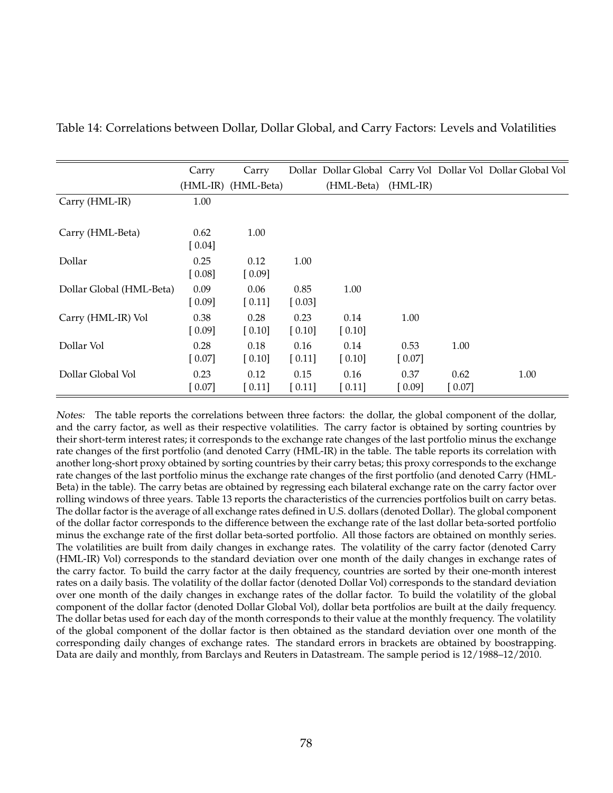|                          | Carry  | Carry               |                     |                     |            |        | Dollar Dollar Global Carry Vol Dollar Vol Dollar Global Vol |
|--------------------------|--------|---------------------|---------------------|---------------------|------------|--------|-------------------------------------------------------------|
|                          |        | (HML-IR) (HML-Beta) |                     | (HML-Beta)          | $(HML-IR)$ |        |                                                             |
| Carry (HML-IR)           | 1.00   |                     |                     |                     |            |        |                                                             |
|                          |        |                     |                     |                     |            |        |                                                             |
| Carry (HML-Beta)         | 0.62   | 1.00                |                     |                     |            |        |                                                             |
|                          | [0.04] |                     |                     |                     |            |        |                                                             |
| Dollar                   | 0.25   | 0.12                | 1.00                |                     |            |        |                                                             |
|                          | [0.08] | [0.09]              |                     |                     |            |        |                                                             |
| Dollar Global (HML-Beta) | 0.09   | 0.06                | 0.85                | 1.00                |            |        |                                                             |
|                          | [0.09] | [0.11]              | [0.03]              |                     |            |        |                                                             |
| Carry (HML-IR) Vol       | 0.38   | 0.28                | 0.23                | 0.14                | 1.00       |        |                                                             |
|                          | [0.09] | $\left[0.10\right]$ | $\left[0.10\right]$ | [0.10]              |            |        |                                                             |
| Dollar Vol               | 0.28   | 0.18                | 0.16                | 0.14                | 0.53       | 1.00   |                                                             |
|                          | [0.07] | $\left[0.10\right]$ | $[0.11]$            | $\left[0.10\right]$ | $[0.07]$   |        |                                                             |
| Dollar Global Vol        | 0.23   | 0.12                | 0.15                | 0.16                | 0.37       | 0.62   | 1.00                                                        |
|                          | 0.07   | $\left[0.11\right]$ | $[0.11]$            | $\left[0.11\right]$ | [0.09]     | [0.07] |                                                             |

Table 14: Correlations between Dollar, Dollar Global, and Carry Factors: Levels and Volatilities

Notes: The table reports the correlations between three factors: the dollar, the global component of the dollar, and the carry factor, as well as their respective volatilities. The carry factor is obtained by sorting countries by their short-term interest rates; it corresponds to the exchange rate changes of the last portfolio minus the exchange rate changes of the first portfolio (and denoted Carry (HML-IR) in the table. The table reports its correlation with another long-short proxy obtained by sorting countries by their carry betas; this proxy corresponds to the exchange rate changes of the last portfolio minus the exchange rate changes of the first portfolio (and denoted Carry (HML-Beta) in the table). The carry betas are obtained by regressing each bilateral exchange rate on the carry factor over rolling windows of three years. Table 13 reports the characteristics of the currencies portfolios built on carry betas. The dollar factor is the average of all exchange rates defined in U.S. dollars (denoted Dollar). The global component of the dollar factor corresponds to the difference between the exchange rate of the last dollar beta-sorted portfolio minus the exchange rate of the first dollar beta-sorted portfolio. All those factors are obtained on monthly series. The volatilities are built from daily changes in exchange rates. The volatility of the carry factor (denoted Carry (HML-IR) Vol) corresponds to the standard deviation over one month of the daily changes in exchange rates of the carry factor. To build the carry factor at the daily frequency, countries are sorted by their one-month interest rates on a daily basis. The volatility of the dollar factor (denoted Dollar Vol) corresponds to the standard deviation over one month of the daily changes in exchange rates of the dollar factor. To build the volatility of the global component of the dollar factor (denoted Dollar Global Vol), dollar beta portfolios are built at the daily frequency. The dollar betas used for each day of the month corresponds to their value at the monthly frequency. The volatility of the global component of the dollar factor is then obtained as the standard deviation over one month of the corresponding daily changes of exchange rates. The standard errors in brackets are obtained by boostrapping. Data are daily and monthly, from Barclays and Reuters in Datastream. The sample period is 12/1988–12/2010.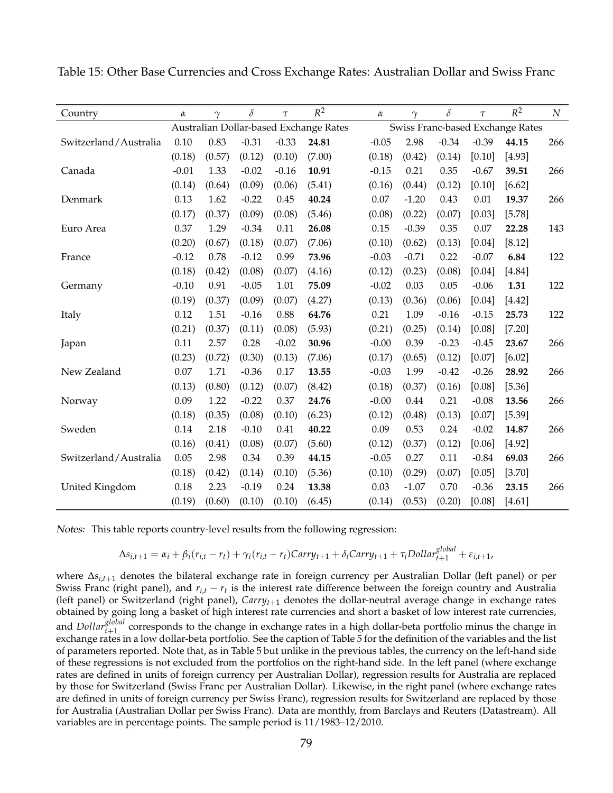| Country               | $\alpha$ | $\gamma$ | $\delta$ | $\tau$  | $R^2$                                  | $\alpha$ | $\gamma$ | $\delta$ | $\tau$  | $R^2$                            | $\cal N$ |
|-----------------------|----------|----------|----------|---------|----------------------------------------|----------|----------|----------|---------|----------------------------------|----------|
|                       |          |          |          |         | Australian Dollar-based Exchange Rates |          |          |          |         | Swiss Franc-based Exchange Rates |          |
| Switzerland/Australia | 0.10     | 0.83     | $-0.31$  | $-0.33$ | 24.81                                  | $-0.05$  | 2.98     | $-0.34$  | $-0.39$ | 44.15                            | 266      |
|                       | (0.18)   | (0.57)   | (0.12)   | (0.10)  | (7.00)                                 | (0.18)   | (0.42)   | (0.14)   | [0.10]  | [4.93]                           |          |
| Canada                | $-0.01$  | 1.33     | $-0.02$  | $-0.16$ | 10.91                                  | $-0.15$  | 0.21     | 0.35     | $-0.67$ | 39.51                            | 266      |
|                       | (0.14)   | (0.64)   | (0.09)   | (0.06)  | (5.41)                                 | (0.16)   | (0.44)   | (0.12)   | [0.10]  | [6.62]                           |          |
| Denmark               | 0.13     | 1.62     | $-0.22$  | 0.45    | 40.24                                  | $0.07$   | $-1.20$  | 0.43     | 0.01    | 19.37                            | 266      |
|                       | (0.17)   | (0.37)   | (0.09)   | (0.08)  | (5.46)                                 | (0.08)   | (0.22)   | (0.07)   | [0.03]  | [5.78]                           |          |
| Euro Area             | 0.37     | 1.29     | $-0.34$  | 0.11    | 26.08                                  | 0.15     | $-0.39$  | 0.35     | 0.07    | 22.28                            | 143      |
|                       | (0.20)   | (0.67)   | (0.18)   | (0.07)  | (7.06)                                 | (0.10)   | (0.62)   | (0.13)   | [0.04]  | [8.12]                           |          |
| France                | $-0.12$  | 0.78     | $-0.12$  | 0.99    | 73.96                                  | $-0.03$  | $-0.71$  | 0.22     | $-0.07$ | 6.84                             | 122      |
|                       | (0.18)   | (0.42)   | (0.08)   | (0.07)  | (4.16)                                 | (0.12)   | (0.23)   | (0.08)   | [0.04]  | [4.84]                           |          |
| Germany               | $-0.10$  | 0.91     | $-0.05$  | 1.01    | 75.09                                  | $-0.02$  | 0.03     | 0.05     | $-0.06$ | 1.31                             | 122      |
|                       | (0.19)   | (0.37)   | (0.09)   | (0.07)  | (4.27)                                 | (0.13)   | (0.36)   | (0.06)   | [0.04]  | [4.42]                           |          |
| Italy                 | 0.12     | 1.51     | $-0.16$  | 0.88    | 64.76                                  | 0.21     | 1.09     | $-0.16$  | $-0.15$ | 25.73                            | 122      |
|                       | (0.21)   | (0.37)   | (0.11)   | (0.08)  | (5.93)                                 | (0.21)   | (0.25)   | (0.14)   | [0.08]  | [7.20]                           |          |
| Japan                 | 0.11     | 2.57     | 0.28     | $-0.02$ | 30.96                                  | $-0.00$  | 0.39     | $-0.23$  | $-0.45$ | 23.67                            | 266      |
|                       | (0.23)   | (0.72)   | (0.30)   | (0.13)  | (7.06)                                 | (0.17)   | (0.65)   | (0.12)   | [0.07]  | [6.02]                           |          |
| New Zealand           | 0.07     | 1.71     | $-0.36$  | 0.17    | 13.55                                  | $-0.03$  | 1.99     | $-0.42$  | $-0.26$ | 28.92                            | 266      |
|                       | (0.13)   | (0.80)   | (0.12)   | (0.07)  | (8.42)                                 | (0.18)   | (0.37)   | (0.16)   | [0.08]  | [5.36]                           |          |
| Norway                | 0.09     | 1.22     | $-0.22$  | 0.37    | 24.76                                  | $-0.00$  | 0.44     | 0.21     | $-0.08$ | 13.56                            | 266      |
|                       | (0.18)   | (0.35)   | (0.08)   | (0.10)  | (6.23)                                 | (0.12)   | (0.48)   | (0.13)   | [0.07]  | [5.39]                           |          |
| Sweden                | 0.14     | 2.18     | $-0.10$  | 0.41    | 40.22                                  | 0.09     | 0.53     | 0.24     | $-0.02$ | 14.87                            | 266      |
|                       | (0.16)   | (0.41)   | (0.08)   | (0.07)  | (5.60)                                 | (0.12)   | (0.37)   | (0.12)   | [0.06]  | [4.92]                           |          |
| Switzerland/Australia | 0.05     | 2.98     | 0.34     | 0.39    | 44.15                                  | $-0.05$  | 0.27     | 0.11     | $-0.84$ | 69.03                            | 266      |
|                       | (0.18)   | (0.42)   | (0.14)   | (0.10)  | (5.36)                                 | (0.10)   | (0.29)   | (0.07)   | [0.05]  | [3.70]                           |          |
| United Kingdom        | 0.18     | 2.23     | $-0.19$  | 0.24    | 13.38                                  | 0.03     | $-1.07$  | 0.70     | $-0.36$ | 23.15                            | 266      |
|                       | (0.19)   | (0.60)   | (0.10)   | (0.10)  | (6.45)                                 | (0.14)   | (0.53)   | (0.20)   | [0.08]  | [4.61]                           |          |

Table 15: Other Base Currencies and Cross Exchange Rates: Australian Dollar and Swiss Franc

Notes: This table reports country-level results from the following regression:

$$
\Delta s_{i,t+1} = \alpha_i + \beta_i (r_{i,t} - r_t) + \gamma_i (r_{i,t} - r_t) Carry_{t+1} + \delta_i Carry_{t+1} + \tau_i Dollar_{t+1}^{global} + \varepsilon_{i,t+1}
$$

,

where ∆*si*,*t*+<sup>1</sup> denotes the bilateral exchange rate in foreign currency per Australian Dollar (left panel) or per Swiss Franc (right panel), and  $r_{i,t} - r_t$  is the interest rate difference between the foreign country and Australia (left panel) or Switzerland (right panel), *Carryt*+<sup>1</sup> denotes the dollar-neutral average change in exchange rates obtained by going long a basket of high interest rate currencies and short a basket of low interest rate currencies, and *Dollar*<sup>*global*</sup> corresponds to the change in exchange rates in a high dollar-beta portfolio minus the change in exchange rates in a low dollar-beta portfolio. See the caption of Table 5 for the definition of the variables and the list of parameters reported. Note that, as in Table 5 but unlike in the previous tables, the currency on the left-hand side of these regressions is not excluded from the portfolios on the right-hand side. In the left panel (where exchange rates are defined in units of foreign currency per Australian Dollar), regression results for Australia are replaced by those for Switzerland (Swiss Franc per Australian Dollar). Likewise, in the right panel (where exchange rates are defined in units of foreign currency per Swiss Franc), regression results for Switzerland are replaced by those for Australia (Australian Dollar per Swiss Franc). Data are monthly, from Barclays and Reuters (Datastream). All variables are in percentage points. The sample period is 11/1983–12/2010.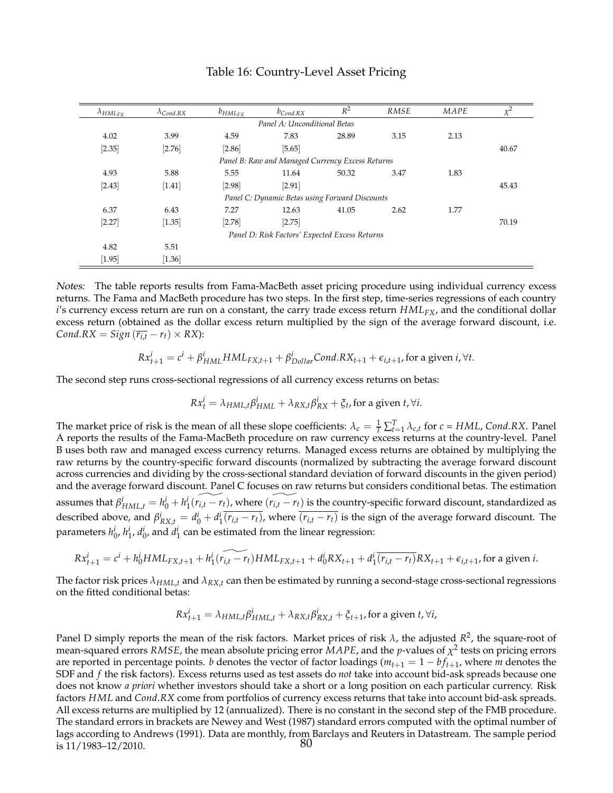| $\lambda_{HML_{FX}}$ | $\lambda_{Cond,RX}$ | $b_{HML_{FX}}$ | $b_{Cond,RX}$                                    | $R^2$ | <b>RMSE</b> | MAPE | $\chi^2$ |
|----------------------|---------------------|----------------|--------------------------------------------------|-------|-------------|------|----------|
|                      |                     |                | Panel A: Unconditional Betas                     |       |             |      |          |
| 4.02                 | 3.99                | 4.59           | 7.83                                             | 28.89 | 3.15        | 2.13 |          |
| $[2.35]$             | $[2.76]$            | [2.86]         | [5.65]                                           |       |             |      | 40.67    |
|                      |                     |                | Panel B: Raw and Managed Currency Excess Returns |       |             |      |          |
| 4.93                 | 5.88                | 5.55           | 11.64                                            | 50.32 | 3.47        | 1.83 |          |
| $[2.43]$             | [1.41]              | [2.98]         | [2.91]                                           |       |             |      | 45.43    |
|                      |                     |                | Panel C: Dynamic Betas using Forward Discounts   |       |             |      |          |
| 6.37                 | 6.43                | 7.27           | 12.63                                            | 41.05 | 2.62        | 1.77 |          |
| $[2.27]$             | $[1.35]$            | [2.78]         | $[2.75]$                                         |       |             |      | 70.19    |
|                      |                     |                | Panel D: Risk Factors' Expected Excess Returns   |       |             |      |          |
| 4.82                 | 5.51                |                |                                                  |       |             |      |          |
| $[1.95]$             | $[1.36]$            |                |                                                  |       |             |      |          |

#### Table 16: Country-Level Asset Pricing

Notes: The table reports results from Fama-MacBeth asset pricing procedure using individual currency excess returns. The Fama and MacBeth procedure has two steps. In the first step, time-series regressions of each country *i*'s currency excess return are run on a constant, the carry trade excess return  $HML_{FX}$ , and the conditional dollar excess return (obtained as the dollar excess return multiplied by the sign of the average forward discount, i.e.  $Cond.RX = Sign(\overline{r_{i,t}} - r_t) \times RX$ :

$$
Rx_{t+1}^i = c^i + \beta_{HML}^i HML_{FX,t+1} + \beta_{Dollar}^i Cond.RX_{t+1} + \epsilon_{i,t+1}, \text{for a given } i, \forall t.
$$

The second step runs cross-sectional regressions of all currency excess returns on betas:

$$
Rx_t^i = \lambda_{HML,t} \beta_{HML}^i + \lambda_{RX,t} \beta_{RX}^i + \xi_t, \text{for a given } t, \forall i.
$$

The market price of risk is the mean of all these slope coefficients:  $\lambda_c = \frac{1}{T} \sum_{t=1}^{T} \lambda_{c,t}$  for  $c = HML$ , Cond.*RX*. Panel A reports the results of the Fama-MacBeth procedure on raw currency excess returns at the country-level. Panel B uses both raw and managed excess currency returns. Managed excess returns are obtained by multiplying the raw returns by the country-specific forward discounts (normalized by subtracting the average forward discount across currencies and dividing by the cross-sectional standard deviation of forward discounts in the given period) and the average forward discount. Panel C focuses on raw returns but considers conditional betas. The estimation assumes that  $\beta^i_{HML,t}=h^i_0+h^i_1(\widetilde{r_{i,t}-r_t})$ , where  $(\widetilde{r_{i,t}-r_t})$  is the country-specific forward discount, standardized as described above, and  $\beta_{RX,t}^i = d_0^i + d_1^i \overline{(r_{i,t} - r_t)}$ , where  $\overline{(r_{i,t} - r_t)}$  is the sign of the average forward discount. The parameters  $h_0^i$ ,  $h_1^i$ ,  $d_0^i$ , and  $d_1^i$  can be estimated from the linear regression:

$$
Rx_{t+1}^i = c^i + h_0^i HML_{FX,t+1} + h_1^i(\widetilde{r_{i,t} - r_t}) HML_{FX,t+1} + d_0^i RX_{t+1} + d_1^i(\widetilde{r_{i,t} - r_t}) RX_{t+1} + \varepsilon_{i,t+1}, \text{ for a given } i.
$$

The factor risk prices *λHML*,*<sup>t</sup>* and *λRX*,*<sup>t</sup>* can then be estimated by running a second-stage cross-sectional regressions on the fitted conditional betas:

$$
Rx_{t+1}^i = \lambda_{HML,t} \beta_{HML,t}^i + \lambda_{RX,t} \beta_{RX,t}^i + \xi_{t+1}
$$
, for a given  $t$ ,  $\forall i$ ,

Panel D simply reports the mean of the risk factors. Market prices of risk  $\lambda$ , the adjusted  $R^2$ , the square-root of mean-squared errors *RMSE*, the mean absolute pricing error *MAPE*, and the *p*-values of *χ* 2 tests on pricing errors are reported in percentage points. *b* denotes the vector of factor loadings ( $m_{t+1} = 1 - bf_{t+1}$ , where *m* denotes the SDF and *f* the risk factors). Excess returns used as test assets do *not* take into account bid-ask spreads because one does not know *a priori* whether investors should take a short or a long position on each particular currency. Risk factors *HML* and *Cond*.*RX* come from portfolios of currency excess returns that take into account bid-ask spreads. All excess returns are multiplied by 12 (annualized). There is no constant in the second step of the FMB procedure. The standard errors in brackets are Newey and West (1987) standard errors computed with the optimal number of lags according to Andrews (1991). Data are monthly, from Barclays and Reuters in Datastream. The sample period<br>is 11/1983–12/2010 is  $11/1983 - 12/2010$ .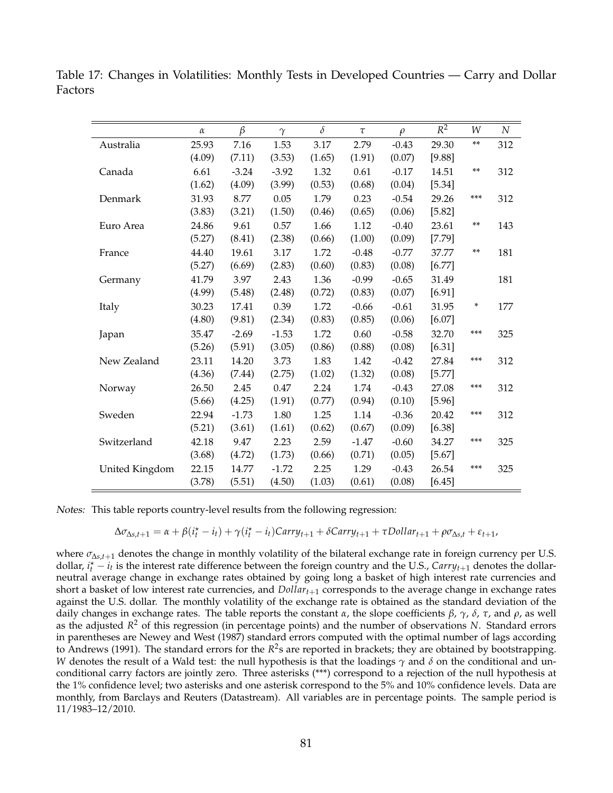Table 17: Changes in Volatilities: Monthly Tests in Developed Countries — Carry and Dollar Factors

|                | $\alpha$ | $\beta$ | $\gamma$ | $\delta$ | $\tau$  | $\rho$  | $R^2$  | W   | N   |
|----------------|----------|---------|----------|----------|---------|---------|--------|-----|-----|
| Australia      | 25.93    | 7.16    | 1.53     | 3.17     | 2.79    | $-0.43$ | 29.30  | **  | 312 |
|                | (4.09)   | (7.11)  | (3.53)   | (1.65)   | (1.91)  | (0.07)  | [9.88] |     |     |
| Canada         | 6.61     | $-3.24$ | $-3.92$  | 1.32     | 0.61    | $-0.17$ | 14.51  | **  | 312 |
|                | (1.62)   | (4.09)  | (3.99)   | (0.53)   | (0.68)  | (0.04)  | [5.34] |     |     |
| Denmark        | 31.93    | 8.77    | 0.05     | 1.79     | 0.23    | $-0.54$ | 29.26  | *** | 312 |
|                | (3.83)   | (3.21)  | (1.50)   | (0.46)   | (0.65)  | (0.06)  | [5.82] |     |     |
| Euro Area      | 24.86    | 9.61    | 0.57     | 1.66     | 1.12    | $-0.40$ | 23.61  | **  | 143 |
|                | (5.27)   | (8.41)  | (2.38)   | (0.66)   | (1.00)  | (0.09)  | [7.79] |     |     |
| France         | 44.40    | 19.61   | 3.17     | 1.72     | $-0.48$ | $-0.77$ | 37.77  | **  | 181 |
|                | (5.27)   | (6.69)  | (2.83)   | (0.60)   | (0.83)  | (0.08)  | [6.77] |     |     |
| Germany        | 41.79    | 3.97    | 2.43     | 1.36     | $-0.99$ | $-0.65$ | 31.49  |     | 181 |
|                | (4.99)   | (5.48)  | (2.48)   | (0.72)   | (0.83)  | (0.07)  | [6.91] |     |     |
| Italy          | 30.23    | 17.41   | 0.39     | 1.72     | $-0.66$ | $-0.61$ | 31.95  | *   | 177 |
|                | (4.80)   | (9.81)  | (2.34)   | (0.83)   | (0.85)  | (0.06)  | [6.07] |     |     |
| Japan          | 35.47    | $-2.69$ | $-1.53$  | 1.72     | 0.60    | $-0.58$ | 32.70  | *** | 325 |
|                | (5.26)   | (5.91)  | (3.05)   | (0.86)   | (0.88)  | (0.08)  | [6.31] |     |     |
| New Zealand    | 23.11    | 14.20   | 3.73     | 1.83     | 1.42    | $-0.42$ | 27.84  | *** | 312 |
|                | (4.36)   | (7.44)  | (2.75)   | (1.02)   | (1.32)  | (0.08)  | [5.77] |     |     |
| Norway         | 26.50    | 2.45    | 0.47     | 2.24     | 1.74    | $-0.43$ | 27.08  | *** | 312 |
|                | (5.66)   | (4.25)  | (1.91)   | (0.77)   | (0.94)  | (0.10)  | [5.96] |     |     |
| Sweden         | 22.94    | $-1.73$ | 1.80     | 1.25     | 1.14    | $-0.36$ | 20.42  | *** | 312 |
|                | (5.21)   | (3.61)  | (1.61)   | (0.62)   | (0.67)  | (0.09)  | [6.38] |     |     |
| Switzerland    | 42.18    | 9.47    | 2.23     | 2.59     | $-1.47$ | $-0.60$ | 34.27  | *** | 325 |
|                | (3.68)   | (4.72)  | (1.73)   | (0.66)   | (0.71)  | (0.05)  | [5.67] |     |     |
| United Kingdom | 22.15    | 14.77   | $-1.72$  | 2.25     | 1.29    | $-0.43$ | 26.54  | *** | 325 |
|                | (3.78)   | (5.51)  | (4.50)   | (1.03)   | (0.61)  | (0.08)  | [6.45] |     |     |

Notes: This table reports country-level results from the following regression:

$$
\Delta \sigma_{\Delta s,t+1} = \alpha + \beta(i_t^* - i_t) + \gamma(i_t^* - i_t)Carry_{t+1} + \delta Carry_{t+1} + \tau Dollar_{t+1} + \rho \sigma_{\Delta s,t} + \varepsilon_{t+1},
$$

where  $\sigma_{\Delta s,t+1}$  denotes the change in monthly volatility of the bilateral exchange rate in foreign currency per U.S. dollar,  $i_t^* - i_t$  is the interest rate difference between the foreign country and the U.S., *Carry*<sub>*t*+1</sub> denotes the dollarneutral average change in exchange rates obtained by going long a basket of high interest rate currencies and short a basket of low interest rate currencies, and *Dollart*+<sup>1</sup> corresponds to the average change in exchange rates against the U.S. dollar. The monthly volatility of the exchange rate is obtained as the standard deviation of the daily changes in exchange rates. The table reports the constant *α*, the slope coefficients *β*, *γ*, *δ*, *τ*, and *ρ*, as well as the adjusted *R* <sup>2</sup> of this regression (in percentage points) and the number of observations *N*. Standard errors in parentheses are Newey and West (1987) standard errors computed with the optimal number of lags according to Andrews (1991). The standard errors for the  $R^2$ s are reported in brackets; they are obtained by bootstrapping. *W* denotes the result of a Wald test: the null hypothesis is that the loadings *γ* and *δ* on the conditional and unconditional carry factors are jointly zero. Three asterisks (\*\*\*) correspond to a rejection of the null hypothesis at the 1% confidence level; two asterisks and one asterisk correspond to the 5% and 10% confidence levels. Data are monthly, from Barclays and Reuters (Datastream). All variables are in percentage points. The sample period is 11/1983–12/2010.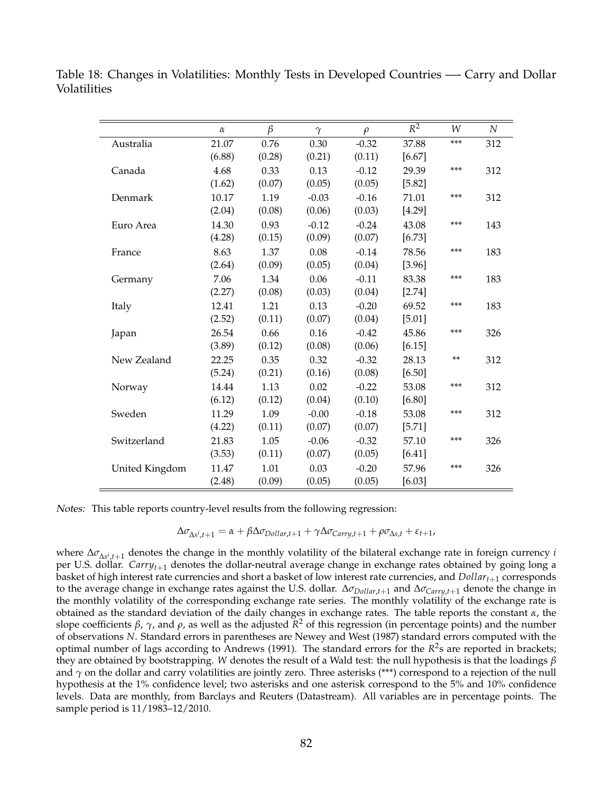Table 18: Changes in Volatilities: Monthly Tests in Developed Countries —- Carry and Dollar Volatilities

|                | $\alpha$ | $\beta$ | $\gamma$ | $\rho$  | $\overline{R^2}$ | W     | $\boldsymbol{N}$ |
|----------------|----------|---------|----------|---------|------------------|-------|------------------|
| Australia      | 21.07    | 0.76    | 0.30     | $-0.32$ | 37.88            | ***   | 312              |
|                | (6.88)   | (0.28)  | (0.21)   | (0.11)  | $[6.67]$         |       |                  |
| Canada         | 4.68     | 0.33    | 0.13     | $-0.12$ | 29.39            | ***   | 312              |
|                | (1.62)   | (0.07)  | (0.05)   | (0.05)  | [5.82]           |       |                  |
| Denmark        | 10.17    | 1.19    | $-0.03$  | $-0.16$ | 71.01            | ***   | 312              |
|                | (2.04)   | (0.08)  | (0.06)   | (0.03)  | [4.29]           |       |                  |
| Euro Area      | 14.30    | 0.93    | $-0.12$  | $-0.24$ | 43.08            | ***   | 143              |
|                | (4.28)   | (0.15)  | (0.09)   | (0.07)  | [6.73]           |       |                  |
| France         | 8.63     | 1.37    | 0.08     | $-0.14$ | 78.56            | ***   | 183              |
|                | (2.64)   | (0.09)  | (0.05)   | (0.04)  | [3.96]           |       |                  |
| Germany        | 7.06     | 1.34    | 0.06     | $-0.11$ | 83.38            | ***   | 183              |
|                | (2.27)   | (0.08)  | (0.03)   | (0.04)  | [2.74]           |       |                  |
| Italy          | 12.41    | 1.21    | 0.13     | $-0.20$ | 69.52            | ***   | 183              |
|                | (2.52)   | (0.11)  | (0.07)   | (0.04)  | [5.01]           |       |                  |
| Japan          | 26.54    | 0.66    | 0.16     | $-0.42$ | 45.86            | ***   | 326              |
|                | (3.89)   | (0.12)  | (0.08)   | (0.06)  | [6.15]           |       |                  |
| New Zealand    | 22.25    | 0.35    | 0.32     | $-0.32$ | 28.13            | $***$ | 312              |
|                | (5.24)   | (0.21)  | (0.16)   | (0.08)  | $[6.50]$         |       |                  |
| Norway         | 14.44    | 1.13    | 0.02     | $-0.22$ | 53.08            | ***   | 312              |
|                | (6.12)   | (0.12)  | (0.04)   | (0.10)  | $[6.80]$         |       |                  |
| Sweden         | 11.29    | 1.09    | $-0.00$  | $-0.18$ | 53.08            | ***   | 312              |
|                | (4.22)   | (0.11)  | (0.07)   | (0.07)  | [5.71]           |       |                  |
| Switzerland    | 21.83    | 1.05    | $-0.06$  | $-0.32$ | 57.10            | ***   | 326              |
|                | (3.53)   | (0.11)  | (0.07)   | (0.05)  | [6.41]           |       |                  |
| United Kingdom | 11.47    | 1.01    | 0.03     | $-0.20$ | 57.96            | ***   | 326              |
|                | (2.48)   | (0.09)  | (0.05)   | (0.05)  | $[6.03]$         |       |                  |

Notes: This table reports country-level results from the following regression:

$$
\Delta \sigma_{\Delta s^i,t+1} = \alpha + \beta \Delta \sigma_{Dollar,t+1} + \gamma \Delta \sigma_{Carry,t+1} + \rho \sigma_{\Delta s,t} + \varepsilon_{t+1},
$$

where ∆*σ*∆*<sup>s</sup> i* ,*t*+<sup>1</sup> denotes the change in the monthly volatility of the bilateral exchange rate in foreign currency *i* per U.S. dollar. *Carryt*+<sup>1</sup> denotes the dollar-neutral average change in exchange rates obtained by going long a basket of high interest rate currencies and short a basket of low interest rate currencies, and *Dollart*+<sup>1</sup> corresponds to the average change in exchange rates against the U.S. dollar. ∆*σDollar*,*t*+<sup>1</sup> and ∆*σCarry*,*t*+<sup>1</sup> denote the change in the monthly volatility of the corresponding exchange rate series. The monthly volatility of the exchange rate is obtained as the standard deviation of the daily changes in exchange rates. The table reports the constant  $\alpha$ , the slope coefficients *β*, *γ*, and *ρ*, as well as the adjusted *R* <sup>2</sup> of this regression (in percentage points) and the number of observations *N*. Standard errors in parentheses are Newey and West (1987) standard errors computed with the optimal number of lags according to Andrews (1991). The standard errors for the *R*<sup>2</sup>s are reported in brackets; they are obtained by bootstrapping. *W* denotes the result of a Wald test: the null hypothesis is that the loadings *β* and  $\gamma$  on the dollar and carry volatilities are jointly zero. Three asterisks (\*\*\*) correspond to a rejection of the null hypothesis at the 1% confidence level; two asterisks and one asterisk correspond to the 5% and 10% confidence levels. Data are monthly, from Barclays and Reuters (Datastream). All variables are in percentage points. The sample period is 11/1983–12/2010.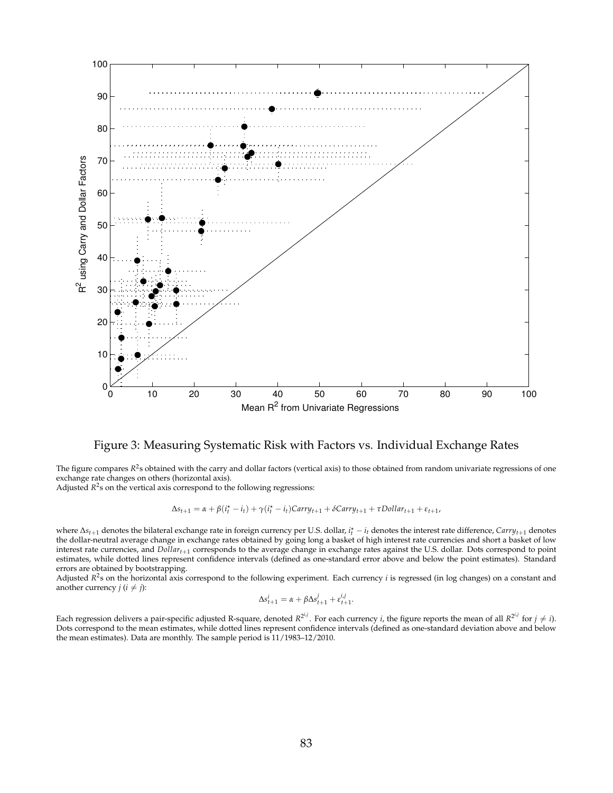

#### Figure 3: Measuring Systematic Risk with Factors vs. Individual Exchange Rates

The figure compares  $R^2$ s obtained with the carry and dollar factors (vertical axis) to those obtained from random univariate regressions of one exchange rate changes on others (horizontal axis).

Adjusted  $R^2$ s on the vertical axis correspond to the following regressions:

$$
\Delta s_{t+1} = \alpha + \beta(i_t^{\star} - i_t) + \gamma(i_t^{\star} - i_t)Carry_{t+1} + \delta Carry_{t+1} + \tau Dollar_{t+1} + \varepsilon_{t+1},
$$

where ∆*st*+<sup>1</sup> denotes the bilateral exchange rate in foreign currency per U.S. dollar, *i* ? *<sup>t</sup>* − *i<sup>t</sup>* denotes the interest rate difference, *Carryt*+<sup>1</sup> denotes the dollar-neutral average change in exchange rates obtained by going long a basket of high interest rate currencies and short a basket of low interest rate currencies, and *Dollart*+<sup>1</sup> corresponds to the average change in exchange rates against the U.S. dollar. Dots correspond to point estimates, while dotted lines represent confidence intervals (defined as one-standard error above and below the point estimates). Standard errors are obtained by bootstrapping.

Adjusted *R*<sup>2</sup>s on the horizontal axis correspond to the following experiment. Each currency *i* is regressed (in log changes) on a constant and another currency  $j$  ( $i \neq j$ ):

$$
\Delta s_{t+1}^i = \alpha + \beta \Delta s_{t+1}^j + \varepsilon_{t+1}^{i,j}.
$$

Each regression delivers a pair-specific adjusted R-square, denoted  $R^{2^{i,j}}$ . For each currency *i*, the figure reports the mean of all  $R^{2^{i,j}}$  for  $j \neq i$ ). Dots correspond to the mean estimates, while dotted lines represent confidence intervals (defined as one-standard deviation above and below the mean estimates). Data are monthly. The sample period is 11/1983–12/2010.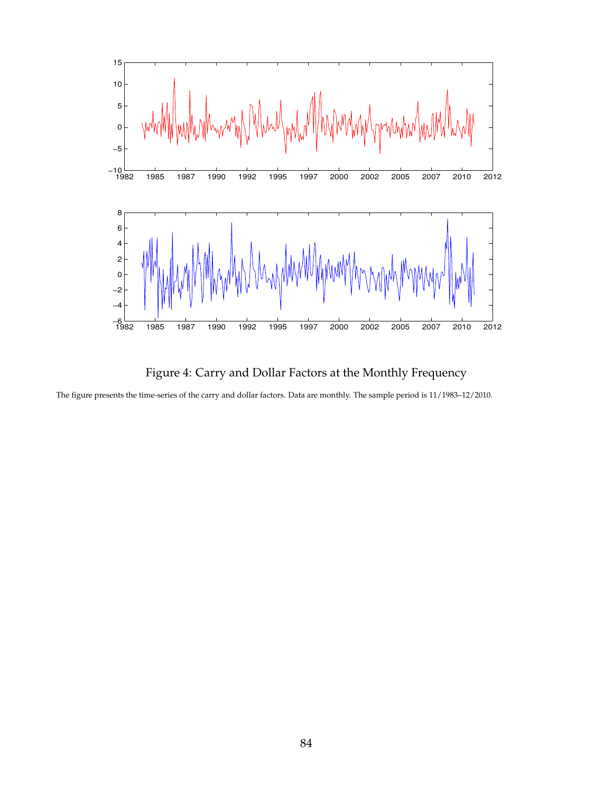

Figure 4: Carry and Dollar Factors at the Monthly Frequency

The figure presents the time-series of the carry and dollar factors. Data are monthly. The sample period is 11/1983–12/2010.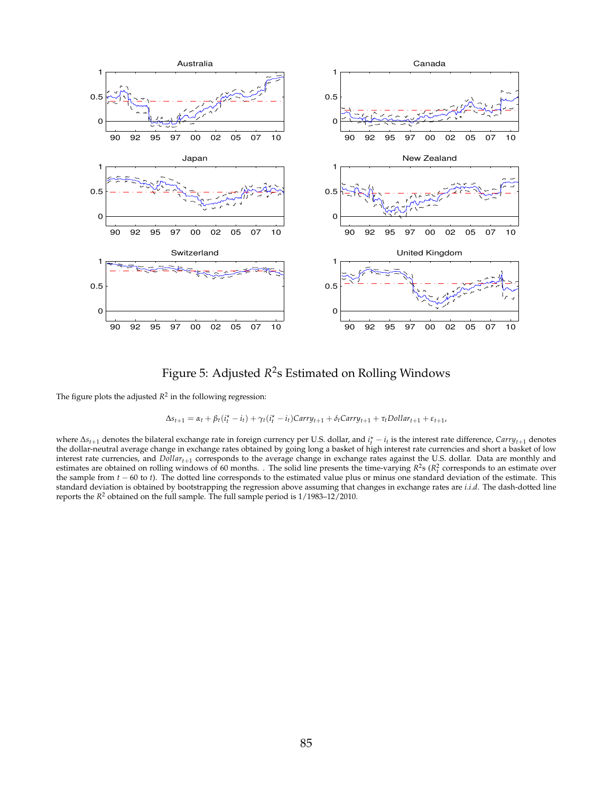

Figure 5: Adjusted *R* 2 s Estimated on Rolling Windows

The figure plots the adjusted  $R^2$  in the following regression:

$$
\Delta s_{t+1} = \alpha_t + \beta_t (i_t^* - i_t) + \gamma_t (i_t^* - i_t) Carry_{t+1} + \delta_t Carry_{t+1} + \tau_t Dollar_{t+1} + \varepsilon_{t+1},
$$

where ∆*st*+<sup>1</sup> denotes the bilateral exchange rate in foreign currency per U.S. dollar, and *i* ? *<sup>t</sup>* − *i<sup>t</sup>* is the interest rate difference, *Carryt*+<sup>1</sup> denotes the dollar-neutral average change in exchange rates obtained by going long a basket of high interest rate currencies and short a basket of low interest rate currencies, and *Dollart*+<sup>1</sup> corresponds to the average change in exchange rates against the U.S. dollar. Data are monthly and estimates are obtained on rolling windows of 60 months. . The solid line presents the time-varying  $R^2$ s ( $R_t^2$  corresponds to an estimate over the sample from *t* − 60 to *t*). The dotted line corresponds to the estimated value plus or minus one standard deviation of the estimate. This standard deviation is obtained by bootstrapping the regression above assuming that changes in exchange rates are *i*.*i*.*d*. The dash-dotted line reports the  $R^2$  obtained on the full sample. The full sample period is  $1/1983-12/2010$ .